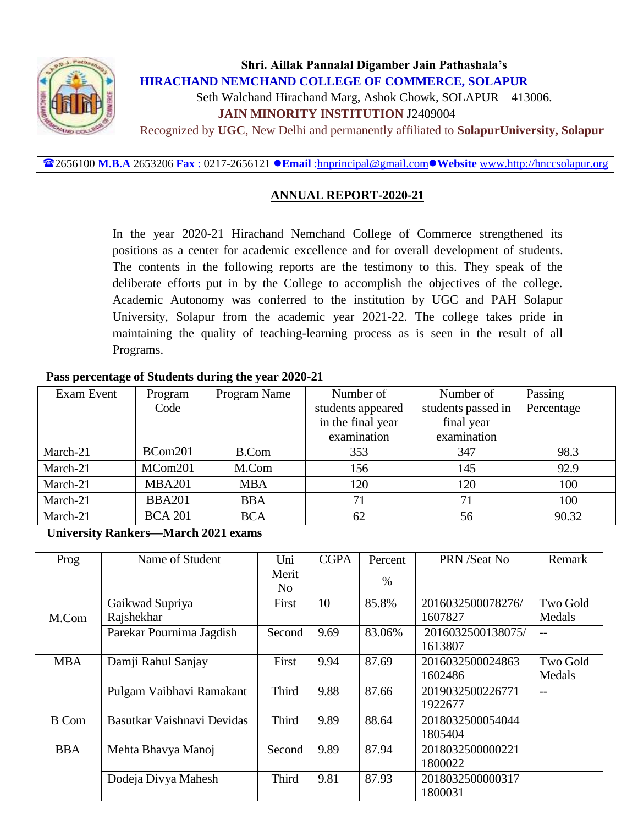

# **Shri. Aillak Pannalal Digamber Jain Pathashala's HIRACHAND NEMCHAND COLLEGE OF COMMERCE, SOLAPUR** Seth Walchand Hirachand Marg, Ashok Chowk, SOLAPUR – 413006.  **JAIN MINORITY INSTITUTION** J2409004 Recognized by **UGC**, New Delhi and permanently affiliated to **SolapurUniversity, Solapur**

2656100 **M.B.A** 2653206 **Fax** : 0217-2656121 **Email** [:hnprincipal@gmail.com](mailto:hnprincipal@gmail.com)**Website** [www.http://hnccsolapur.org](http://www.http/hnccsolapur.org)

## **ANNUAL REPORT-2020-21**

In the year 2020-21 Hirachand Nemchand College of Commerce strengthened its positions as a center for academic excellence and for overall development of students. The contents in the following reports are the testimony to this. They speak of the deliberate efforts put in by the College to accomplish the objectives of the college. Academic Autonomy was conferred to the institution by UGC and PAH Solapur University, Solapur from the academic year 2021-22. The college takes pride in maintaining the quality of teaching-learning process as is seen in the result of all Programs.

#### **Pass percentage of Students during the year 2020-21**

| Exam Event | Program        | Program Name | Number of         | Number of          | Passing    |
|------------|----------------|--------------|-------------------|--------------------|------------|
|            | Code           |              | students appeared | students passed in | Percentage |
|            |                |              | in the final year | final year         |            |
|            |                |              | examination       | examination        |            |
| March-21   | BCom201        | B.Com        | 353               | 347                | 98.3       |
| March-21   | MCom201        | M.Com        | 156               | 145                | 92.9       |
| March-21   | <b>MBA201</b>  | <b>MBA</b>   | 120               | 120                | 100        |
| March-21   | <b>BBA201</b>  | <b>BBA</b>   | 71                | 71                 | 100        |
| March-21   | <b>BCA 201</b> | <b>BCA</b>   | 62                | 56                 | 90.32      |

**University Rankers—March 2021 exams**

| Prog         | Name of Student            | Uni                     | <b>CGPA</b> | Percent | PRN /Seat No      | Remark          |
|--------------|----------------------------|-------------------------|-------------|---------|-------------------|-----------------|
|              |                            | Merit<br>N <sub>0</sub> |             | $\%$    |                   |                 |
|              |                            |                         |             |         |                   |                 |
|              | Gaikwad Supriya            | First                   | 10          | 85.8%   | 2016032500078276/ | <b>Two Gold</b> |
| M.Com        | Rajshekhar                 |                         |             |         | 1607827           | Medals          |
|              | Parekar Pournima Jagdish   | Second                  | 9.69        | 83.06%  | 2016032500138075/ |                 |
|              |                            |                         |             |         | 1613807           |                 |
| <b>MBA</b>   | Damji Rahul Sanjay         | First                   | 9.94        | 87.69   | 2016032500024863  | Two Gold        |
|              |                            |                         |             |         | 1602486           | Medals          |
|              | Pulgam Vaibhavi Ramakant   | <b>Third</b>            | 9.88        | 87.66   | 2019032500226771  | $ -$            |
|              |                            |                         |             |         | 1922677           |                 |
| <b>B</b> Com | Basutkar Vaishnavi Devidas | <b>Third</b>            | 9.89        | 88.64   | 2018032500054044  |                 |
|              |                            |                         |             |         | 1805404           |                 |
| <b>BBA</b>   | Mehta Bhavya Manoj         | Second                  | 9.89        | 87.94   | 2018032500000221  |                 |
|              |                            |                         |             |         | 1800022           |                 |
|              | Dodeja Divya Mahesh        | <b>Third</b>            | 9.81        | 87.93   | 2018032500000317  |                 |
|              |                            |                         |             |         | 1800031           |                 |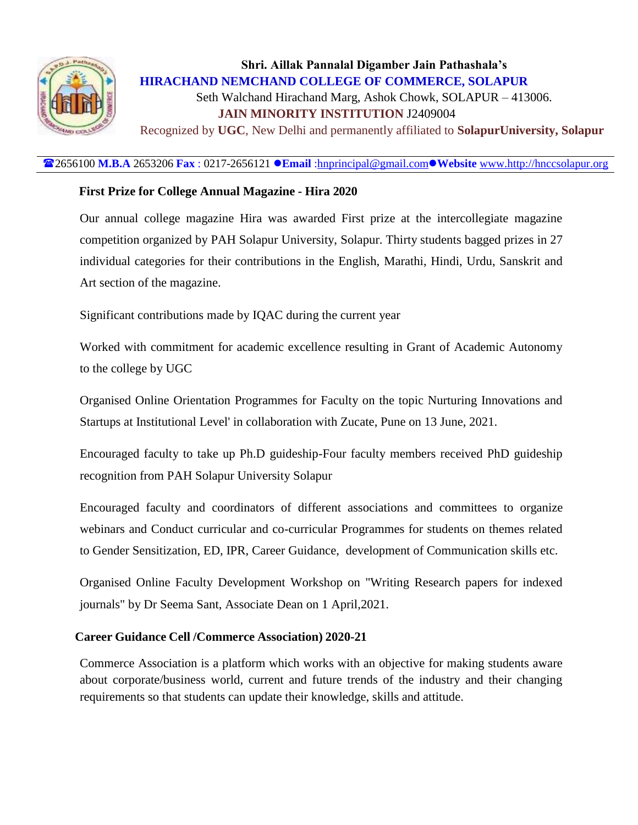

# **Shri. Aillak Pannalal Digamber Jain Pathashala's HIRACHAND NEMCHAND COLLEGE OF COMMERCE, SOLAPUR** Seth Walchand Hirachand Marg, Ashok Chowk, SOLAPUR – 413006.  **JAIN MINORITY INSTITUTION** J2409004

Recognized by **UGC**, New Delhi and permanently affiliated to **SolapurUniversity, Solapur**

#### 2656100 **M.B.A** 2653206 **Fax** : 0217-2656121 **Email** [:hnprincipal@gmail.com](mailto:hnprincipal@gmail.com)**Website** [www.http://hnccsolapur.org](http://www.http/hnccsolapur.org)

#### **First Prize for College Annual Magazine - Hira 2020**

Our annual college magazine Hira was awarded First prize at the intercollegiate magazine competition organized by PAH Solapur University, Solapur. Thirty students bagged prizes in 27 individual categories for their contributions in the English, Marathi, Hindi, Urdu, Sanskrit and Art section of the magazine.

Significant contributions made by IQAC during the current year

Worked with commitment for academic excellence resulting in Grant of Academic Autonomy to the college by UGC

Organised Online Orientation Programmes for Faculty on the topic Nurturing Innovations and Startups at Institutional Level' in collaboration with Zucate, Pune on 13 June, 2021.

Encouraged faculty to take up Ph.D guideship-Four faculty members received PhD guideship recognition from PAH Solapur University Solapur

Encouraged faculty and coordinators of different associations and committees to organize webinars and Conduct curricular and co-curricular Programmes for students on themes related to Gender Sensitization, ED, IPR, Career Guidance, development of Communication skills etc.

Organised Online Faculty Development Workshop on "Writing Research papers for indexed journals" by Dr Seema Sant, Associate Dean on 1 April,2021.

#### **Career Guidance Cell /Commerce Association) 2020-21**

Commerce Association is a platform which works with an objective for making students aware about corporate/business world, current and future trends of the industry and their changing requirements so that students can update their knowledge, skills and attitude.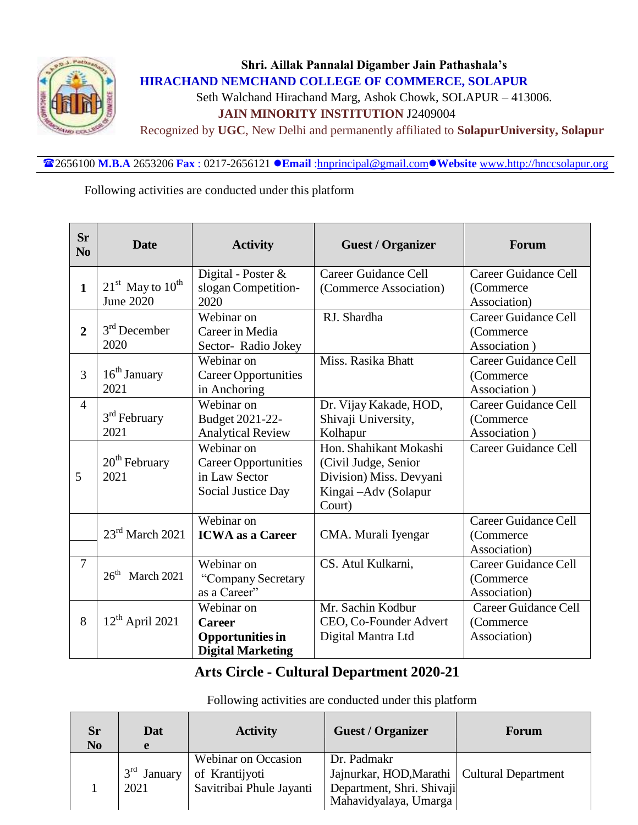

# **Shri. Aillak Pannalal Digamber Jain Pathashala's HIRACHAND NEMCHAND COLLEGE OF COMMERCE, SOLAPUR** Seth Walchand Hirachand Marg, Ashok Chowk, SOLAPUR – 413006.  **JAIN MINORITY INSTITUTION** J2409004

Recognized by **UGC**, New Delhi and permanently affiliated to **SolapurUniversity, Solapur**

2656100 **M.B.A** 2653206 **Fax** : 0217-2656121 **Email** [:hnprincipal@gmail.com](mailto:hnprincipal@gmail.com)**Website** [www.http://hnccsolapur.org](http://www.http/hnccsolapur.org)

Following activities are conducted under this platform

| <b>Sr</b><br>N <sub>0</sub> | <b>Date</b>                              | <b>Activity</b>                                                                    | <b>Guest / Organizer</b>                                                                                    | Forum                                                     |
|-----------------------------|------------------------------------------|------------------------------------------------------------------------------------|-------------------------------------------------------------------------------------------------------------|-----------------------------------------------------------|
| $\mathbf{1}$                | $21st$ May to $10th$<br><b>June 2020</b> | Digital - Poster &<br>slogan Competition-<br>2020                                  | Career Guidance Cell<br>(Commerce Association)                                                              | Career Guidance Cell<br>(Commerce)<br>Association)        |
| $\overline{2}$              | $3rd$ December<br>2020                   | Webinar on<br>Career in Media<br>Sector-Radio Jokey                                | RJ. Shardha                                                                                                 | <b>Career Guidance Cell</b><br>(Commerce)<br>Association) |
| 3                           | 16 <sup>th</sup> January<br>2021         | Webinar on<br><b>Career Opportunities</b><br>in Anchoring                          | Miss. Rasika Bhatt                                                                                          | Career Guidance Cell<br>(Commerce)<br>Association)        |
| $\overline{4}$              | 3 <sup>rd</sup> February<br>2021         | Webinar on<br>Budget 2021-22-<br><b>Analytical Review</b>                          | Dr. Vijay Kakade, HOD,<br>Shivaji University,<br>Kolhapur                                                   | Career Guidance Cell<br>(Commerce)<br>Association)        |
| 5                           | $20th$ February<br>2021                  | Webinar on<br><b>Career Opportunities</b><br>in Law Sector<br>Social Justice Day   | Hon. Shahikant Mokashi<br>(Civil Judge, Senior<br>Division) Miss. Devyani<br>Kingai -Adv (Solapur<br>Court) | Career Guidance Cell                                      |
|                             | $23rd$ March 2021                        | Webinar on<br><b>ICWA</b> as a Career                                              | CMA. Murali Iyengar                                                                                         | Career Guidance Cell<br>(Commerce<br>Association)         |
| $\overline{7}$              | $26th$ March 2021                        | Webinar on<br>"Company Secretary<br>as a Career"                                   | CS. Atul Kulkarni,                                                                                          | Career Guidance Cell<br>(Commerce)<br>Association)        |
| 8                           | $12th$ April 2021                        | Webinar on<br><b>Career</b><br><b>Opportunities in</b><br><b>Digital Marketing</b> | Mr. Sachin Kodbur<br>CEO, Co-Founder Advert<br>Digital Mantra Ltd                                           | Career Guidance Cell<br>(Commerce)<br>Association)        |

# **Arts Circle - Cultural Department 2020-21**

Following activities are conducted under this platform

| <b>Sr</b><br>N <sub>0</sub> | Dat<br>e                           | <b>Activity</b>                                                   | <b>Guest / Organizer</b>                                                                                           | Forum |
|-----------------------------|------------------------------------|-------------------------------------------------------------------|--------------------------------------------------------------------------------------------------------------------|-------|
|                             | 3 <sup>rd</sup><br>January<br>2021 | Webinar on Occasion<br>of Krantijyoti<br>Savitribai Phule Jayanti | Dr. Padmakr<br>Jajnurkar, HOD, Marathi   Cultural Department<br>Department, Shri. Shivaji<br>Mahavidyalaya, Umarga |       |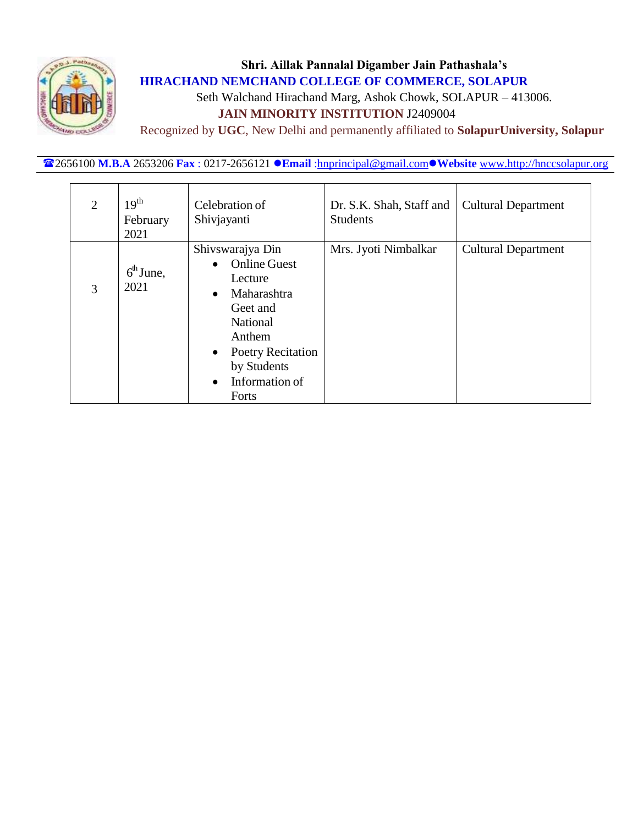

Seth Walchand Hirachand Marg, Ashok Chowk, SOLAPUR – 413006.

# **JAIN MINORITY INSTITUTION** J2409004

Recognized by **UGC**, New Delhi and permanently affiliated to **SolapurUniversity, Solapur**

2656100 **M.B.A** 2653206 **Fax** : 0217-2656121 **Email** [:hnprincipal@gmail.com](mailto:hnprincipal@gmail.com)**Website** [www.http://hnccsolapur.org](http://www.http/hnccsolapur.org)

| $\overline{2}$ | 19 <sup>th</sup><br>February<br>2021 | Celebration of<br>Shivjayanti                                                                                                                                                                                                 | Dr. S.K. Shah, Staff and<br><b>Students</b> | <b>Cultural Department</b> |
|----------------|--------------------------------------|-------------------------------------------------------------------------------------------------------------------------------------------------------------------------------------------------------------------------------|---------------------------------------------|----------------------------|
| 3              | $6th$ June,<br>2021                  | Shivswarajya Din<br><b>Online Guest</b><br>$\bullet$<br>Lecture<br>Maharashtra<br>$\bullet$<br>Geet and<br><b>National</b><br>Anthem<br>Poetry Recitation<br>$\bullet$<br>by Students<br>Information of<br>$\bullet$<br>Forts | Mrs. Jyoti Nimbalkar                        | <b>Cultural Department</b> |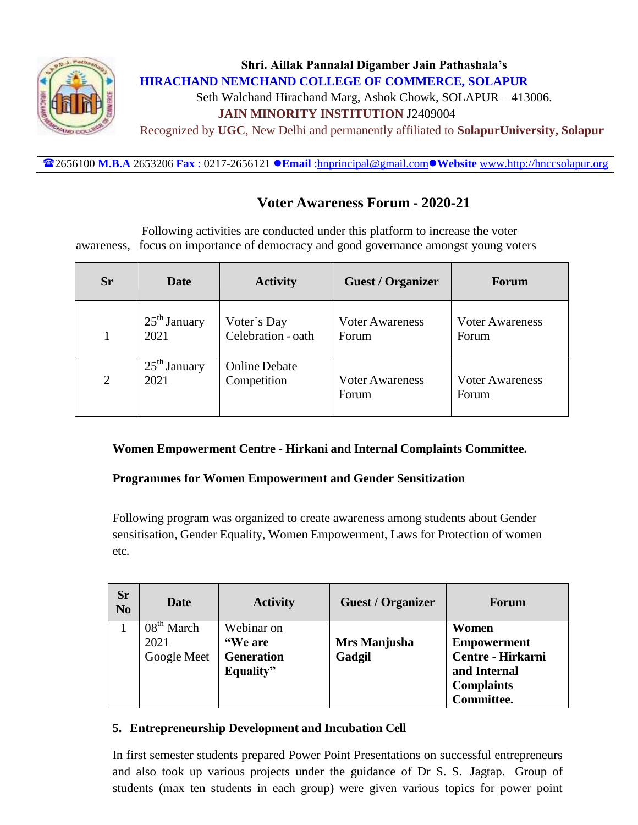

# **Shri. Aillak Pannalal Digamber Jain Pathashala's HIRACHAND NEMCHAND COLLEGE OF COMMERCE, SOLAPUR** Seth Walchand Hirachand Marg, Ashok Chowk, SOLAPUR – 413006.  **JAIN MINORITY INSTITUTION** J2409004 Recognized by **UGC**, New Delhi and permanently affiliated to **SolapurUniversity, Solapur**

2656100 **M.B.A** 2653206 **Fax** : 0217-2656121 **Email** [:hnprincipal@gmail.com](mailto:hnprincipal@gmail.com)**Website** [www.http://hnccsolapur.org](http://www.http/hnccsolapur.org)

## **Voter Awareness Forum - 2020-21**

Following activities are conducted under this platform to increase the voter awareness, focus on importance of democracy and good governance amongst young voters

| <b>Sr</b> | Date           | <b>Activity</b>      | <b>Guest / Organizer</b> | Forum                  |
|-----------|----------------|----------------------|--------------------------|------------------------|
|           | $25th$ January | Voter's Day          | <b>Voter Awareness</b>   | <b>Voter Awareness</b> |
|           | 2021           | Celebration - oath   | Forum                    | Forum                  |
| 2         | $25th$ January | <b>Online Debate</b> | <b>Voter Awareness</b>   | <b>Voter Awareness</b> |
|           | 2021           | Competition          | Forum                    | Forum                  |

#### **Women Empowerment Centre - Hirkani and Internal Complaints Committee.**

#### **Programmes for Women Empowerment and Gender Sensitization**

Following program was organized to create awareness among students about Gender sensitisation, Gender Equality, Women Empowerment, Laws for Protection of women etc.

| <b>Sr</b><br>N <sub>o</sub> | Date         | <b>Activity</b>   | <b>Guest / Organizer</b> | <b>Forum</b>       |
|-----------------------------|--------------|-------------------|--------------------------|--------------------|
|                             | $08th$ March | Webinar on        |                          | Women              |
|                             | 2021         | "We are           | Mrs Manjusha             | <b>Empowerment</b> |
|                             | Google Meet  | <b>Generation</b> | Gadgil                   | Centre - Hirkarni  |
|                             |              | Equality"         |                          | and Internal       |
|                             |              |                   |                          | <b>Complaints</b>  |
|                             |              |                   |                          | <b>Committee.</b>  |

#### **5. Entrepreneurship Development and Incubation Cell**

In first semester students prepared Power Point Presentations on successful entrepreneurs and also took up various projects under the guidance of Dr S. S. Jagtap. Group of students (max ten students in each group) were given various topics for power point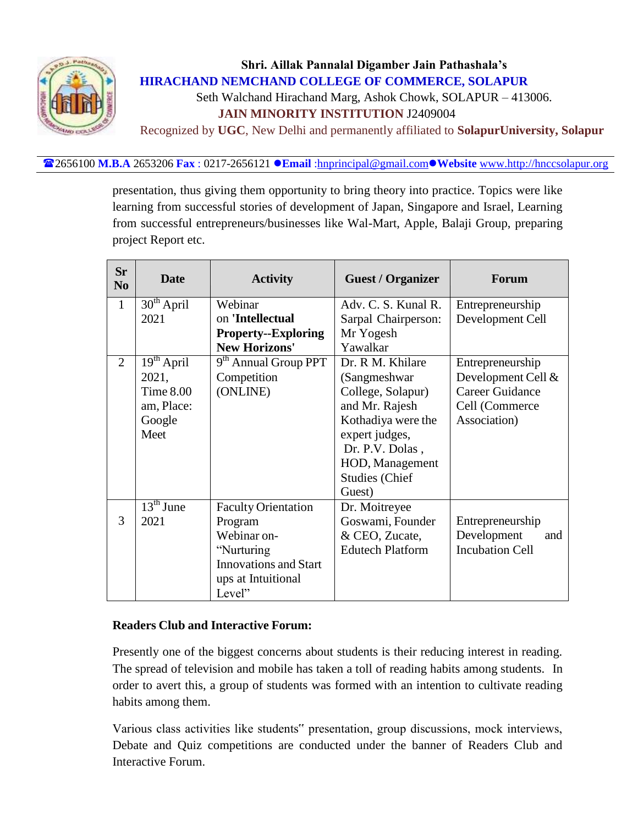

## **Shri. Aillak Pannalal Digamber Jain Pathashala's HIRACHAND NEMCHAND COLLEGE OF COMMERCE, SOLAPUR** Seth Walchand Hirachand Marg, Ashok Chowk, SOLAPUR – 413006.

 **JAIN MINORITY INSTITUTION** J2409004

Recognized by **UGC**, New Delhi and permanently affiliated to **SolapurUniversity, Solapur**

2656100 **M.B.A** 2653206 **Fax** : 0217-2656121 **Email** [:hnprincipal@gmail.com](mailto:hnprincipal@gmail.com)**Website** [www.http://hnccsolapur.org](http://www.http/hnccsolapur.org)

presentation, thus giving them opportunity to bring theory into practice. Topics were like learning from successful stories of development of Japan, Singapore and Israel, Learning from successful entrepreneurs/businesses like Wal-Mart, Apple, Balaji Group, preparing project Report etc.

| <b>Sr</b><br>N <sub>0</sub> | <b>Date</b>                        | <b>Activity</b>                  | <b>Guest / Organizer</b> | Forum                  |
|-----------------------------|------------------------------------|----------------------------------|--------------------------|------------------------|
| $\mathbf{1}$                | 30 <sup>th</sup> April             | Webinar                          | Adv. C. S. Kunal R.      | Entrepreneurship       |
|                             | 2021                               | on 'Intellectual                 | Sarpal Chairperson:      | Development Cell       |
|                             |                                    | <b>Property--Exploring</b>       | Mr Yogesh                |                        |
|                             |                                    | <b>New Horizons'</b>             | Yawalkar                 |                        |
| $\overline{2}$              | $\overline{1}9^{\text{th}}$ April  | 9 <sup>th</sup> Annual Group PPT | Dr. R.M. Khilare         | Entrepreneurship       |
|                             | 2021,                              | Competition                      | (Sangmeshwar)            | Development Cell &     |
|                             | Time $8.00$                        | (ONLINE)                         | College, Solapur)        | <b>Career Guidance</b> |
|                             | am, Place:                         |                                  | and Mr. Rajesh           | Cell (Commerce         |
|                             | Google                             |                                  | Kothadiya were the       | Association)           |
|                             | Meet                               |                                  | expert judges,           |                        |
|                             |                                    |                                  | Dr. P.V. Dolas,          |                        |
|                             |                                    |                                  | HOD, Management          |                        |
|                             |                                    |                                  | Studies (Chief           |                        |
|                             |                                    |                                  | Guest)                   |                        |
|                             | $\overline{13}$ <sup>th</sup> June | <b>Faculty Orientation</b>       | Dr. Moitreyee            |                        |
| 3                           | 2021                               | Program                          | Goswami, Founder         | Entrepreneurship       |
|                             |                                    | Webinar on-                      | & CEO, Zucate,           | Development<br>and     |
|                             |                                    | "Nurturing                       | <b>Edutech Platform</b>  | <b>Incubation Cell</b> |
|                             |                                    | <b>Innovations and Start</b>     |                          |                        |
|                             |                                    | ups at Intuitional               |                          |                        |
|                             |                                    | Level"                           |                          |                        |

#### **Readers Club and Interactive Forum:**

Presently one of the biggest concerns about students is their reducing interest in reading. The spread of television and mobile has taken a toll of reading habits among students. In order to avert this, a group of students was formed with an intention to cultivate reading habits among them.

Various class activities like students" presentation, group discussions, mock interviews, Debate and Quiz competitions are conducted under the banner of Readers Club and Interactive Forum.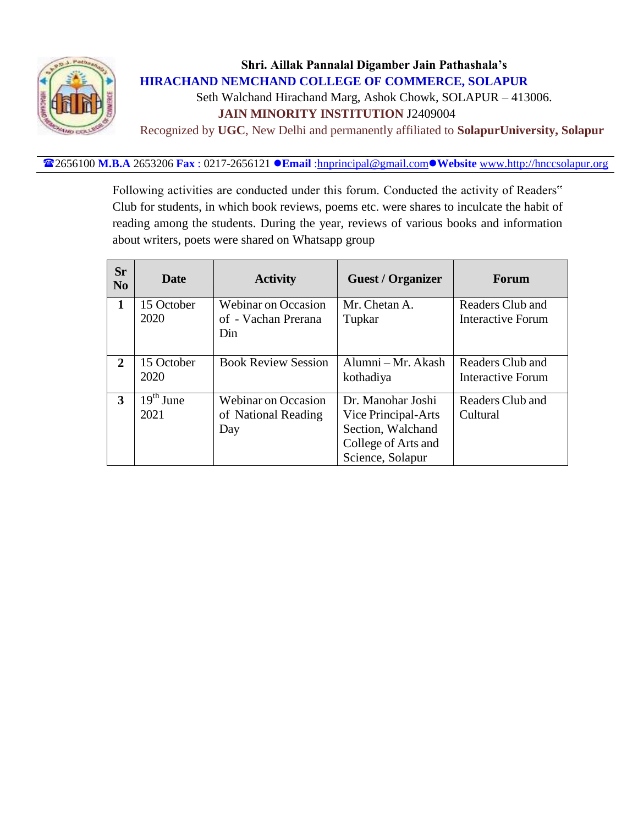

## **Shri. Aillak Pannalal Digamber Jain Pathashala's HIRACHAND NEMCHAND COLLEGE OF COMMERCE, SOLAPUR** Seth Walchand Hirachand Marg, Ashok Chowk, SOLAPUR – 413006.

 **JAIN MINORITY INSTITUTION** J2409004

Recognized by **UGC**, New Delhi and permanently affiliated to **SolapurUniversity, Solapur**

#### 2656100 **M.B.A** 2653206 **Fax** : 0217-2656121 **Email** [:hnprincipal@gmail.com](mailto:hnprincipal@gmail.com)**Website** [www.http://hnccsolapur.org](http://www.http/hnccsolapur.org)

Following activities are conducted under this forum. Conducted the activity of Readers" Club for students, in which book reviews, poems etc. were shares to inculcate the habit of reading among the students. During the year, reviews of various books and information about writers, poets were shared on Whatsapp group

| <b>Sr</b><br>N <sub>0</sub> | <b>Date</b>                              | <b>Activity</b>                                          | <b>Guest / Organizer</b>                                                                                 | Forum                                 |
|-----------------------------|------------------------------------------|----------------------------------------------------------|----------------------------------------------------------------------------------------------------------|---------------------------------------|
| 1                           | 15 October<br>2020                       | <b>Webinar on Occasion</b><br>of - Vachan Prerana<br>Din | Mr. Chetan A.<br>Tupkar                                                                                  | Readers Club and<br>Interactive Forum |
| 2                           | 15 October<br>2020                       | <b>Book Review Session</b>                               | Alumni – Mr. Akash<br>kothadiya                                                                          | Readers Club and<br>Interactive Forum |
| 3                           | $\overline{1}9^{\text{th}}$ June<br>2021 | <b>Webinar on Occasion</b><br>of National Reading<br>Day | Dr. Manohar Joshi<br>Vice Principal-Arts<br>Section, Walchand<br>College of Arts and<br>Science, Solapur | Readers Club and<br>Cultural          |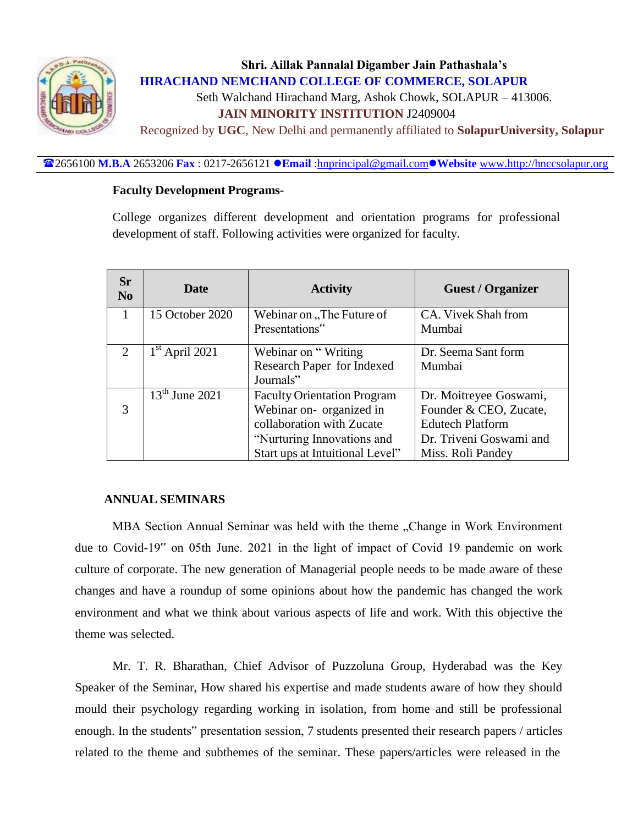

## **Shri. Aillak Pannalal Digamber Jain Pathashala's HIRACHAND NEMCHAND COLLEGE OF COMMERCE, SOLAPUR** Seth Walchand Hirachand Marg, Ashok Chowk, SOLAPUR – 413006.  **JAIN MINORITY INSTITUTION** J2409004

Recognized by **UGC**, New Delhi and permanently affiliated to **SolapurUniversity, Solapur**

#### 2656100 **M.B.A** 2653206 **Fax** : 0217-2656121 **Email** [:hnprincipal@gmail.com](mailto:hnprincipal@gmail.com)**Website** [www.http://hnccsolapur.org](http://www.http/hnccsolapur.org)

#### **Faculty Development Programs-**

College organizes different development and orientation programs for professional development of staff. Following activities were organized for faculty.

| <b>Sr</b><br>N <sub>0</sub> | <b>Date</b>      | <b>Activity</b>                    | <b>Guest / Organizer</b> |
|-----------------------------|------------------|------------------------------------|--------------------------|
| $\mathbf{1}$                | 15 October 2020  | Webinar on "The Future of          | CA. Vivek Shah from      |
|                             |                  | Presentations"                     | Mumbai                   |
| 2                           | $1st$ April 2021 | Webinar on "Writing"               | Dr. Seema Sant form      |
|                             |                  | Research Paper for Indexed         | Mumbai                   |
|                             |                  | Journals"                          |                          |
|                             | $13th$ June 2021 | <b>Faculty Orientation Program</b> | Dr. Moitreyee Goswami,   |
| 3                           |                  | Webinar on- organized in           | Founder & CEO, Zucate,   |
|                             |                  | collaboration with Zucate          | <b>Edutech Platform</b>  |
|                             |                  | "Nurturing Innovations and         | Dr. Triveni Goswami and  |
|                             |                  | Start ups at Intuitional Level"    | Miss. Roli Pandey        |

#### **ANNUAL SEMINARS**

MBA Section Annual Seminar was held with the theme "Change in Work Environment due to Covid-19" on 05th June. 2021 in the light of impact of Covid 19 pandemic on work culture of corporate. The new generation of Managerial people needs to be made aware of these changes and have a roundup of some opinions about how the pandemic has changed the work environment and what we think about various aspects of life and work. With this objective the theme was selected.

Mr. T. R. Bharathan, Chief Advisor of Puzzoluna Group, Hyderabad was the Key Speaker of the Seminar, How shared his expertise and made students aware of how they should mould their psychology regarding working in isolation, from home and still be professional enough. In the students" presentation session, 7 students presented their research papers / articles related to the theme and subthemes of the seminar. These papers/articles were released in the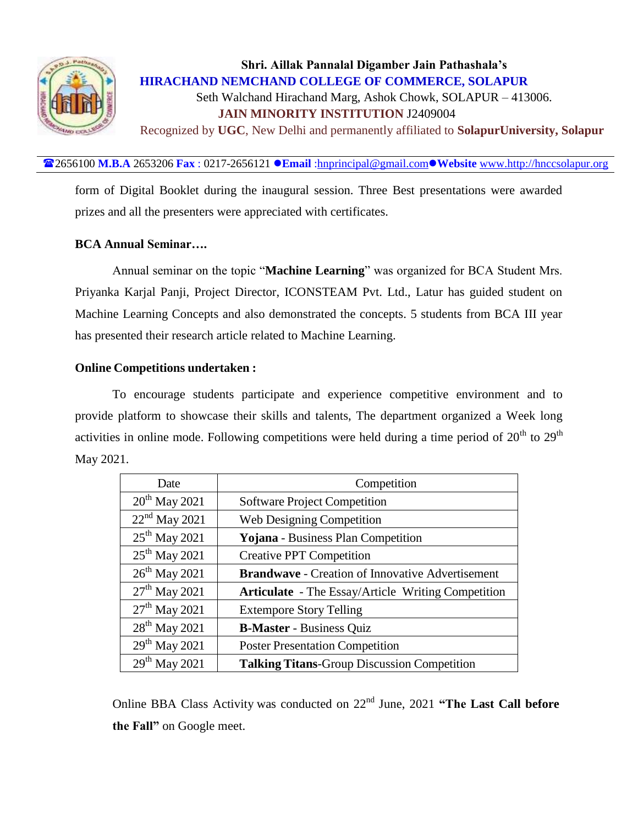

# **Shri. Aillak Pannalal Digamber Jain Pathashala's HIRACHAND NEMCHAND COLLEGE OF COMMERCE, SOLAPUR** Seth Walchand Hirachand Marg, Ashok Chowk, SOLAPUR – 413006.  **JAIN MINORITY INSTITUTION** J2409004

Recognized by **UGC**, New Delhi and permanently affiliated to **SolapurUniversity, Solapur**

2656100 **M.B.A** 2653206 **Fax** : 0217-2656121 **Email** [:hnprincipal@gmail.com](mailto:hnprincipal@gmail.com)**Website** [www.http://hnccsolapur.org](http://www.http/hnccsolapur.org)

form of Digital Booklet during the inaugural session. Three Best presentations were awarded prizes and all the presenters were appreciated with certificates.

#### **BCA Annual Seminar….**

Annual seminar on the topic "**Machine Learning**" was organized for BCA Student Mrs. Priyanka Karjal Panji, Project Director, ICONSTEAM Pvt. Ltd., Latur has guided student on Machine Learning Concepts and also demonstrated the concepts. 5 students from BCA III year has presented their research article related to Machine Learning.

#### **Online Competitions undertaken :**

To encourage students participate and experience competitive environment and to provide platform to showcase their skills and talents, The department organized a Week long activities in online mode. Following competitions were held during a time period of  $20<sup>th</sup>$  to  $29<sup>th</sup>$ May 2021.

| Date                      | Competition                                               |
|---------------------------|-----------------------------------------------------------|
| $20^{th}$ May 2021        | <b>Software Project Competition</b>                       |
| $22nd$ May 2021           | <b>Web Designing Competition</b>                          |
| $25^{th}$ May 2021        | Yojana - Business Plan Competition                        |
| $25^{th}$ May 2021        | <b>Creative PPT Competition</b>                           |
| $26^{th}$ May 2021        | <b>Brandwave - Creation of Innovative Advertisement</b>   |
| $27th$ May 2021           | <b>Articulate</b> - The Essay/Article Writing Competition |
| $27th$ May 2021           | <b>Extempore Story Telling</b>                            |
| $28^{th}$ May 2021        | <b>B-Master</b> - Business Quiz                           |
| $29^{th}$ May 2021        | <b>Poster Presentation Competition</b>                    |
| 29 <sup>th</sup> May 2021 | <b>Talking Titans-Group Discussion Competition</b>        |

Online BBA Class Activity was conducted on 22nd June, 2021 **"The Last Call before the Fall"** on Google meet.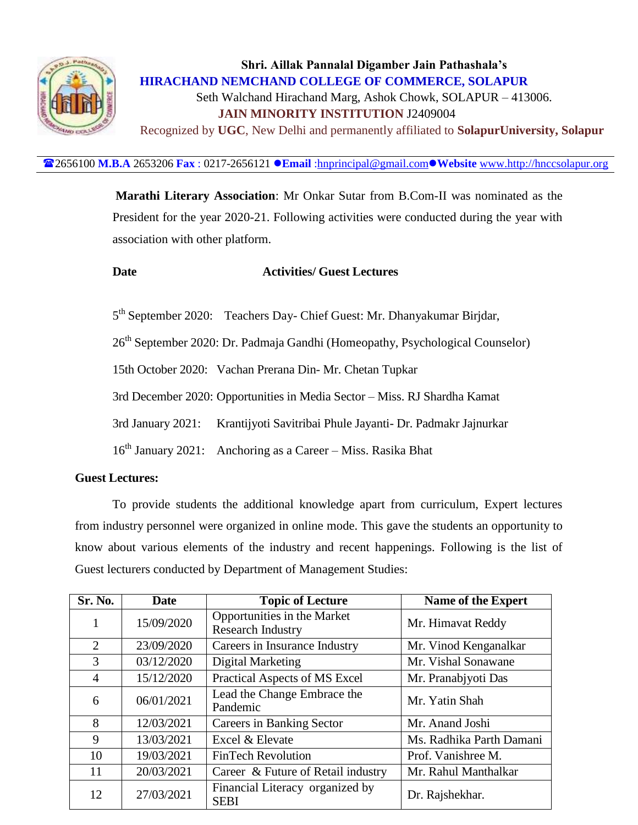

# **Shri. Aillak Pannalal Digamber Jain Pathashala's HIRACHAND NEMCHAND COLLEGE OF COMMERCE, SOLAPUR** Seth Walchand Hirachand Marg, Ashok Chowk, SOLAPUR – 413006.  **JAIN MINORITY INSTITUTION** J2409004 Recognized by **UGC**, New Delhi and permanently affiliated to **SolapurUniversity, Solapur**

2656100 **M.B.A** 2653206 **Fax** : 0217-2656121 **Email** [:hnprincipal@gmail.com](mailto:hnprincipal@gmail.com)**Website** [www.http://hnccsolapur.org](http://www.http/hnccsolapur.org)

**Marathi Literary Association**: Mr Onkar Sutar from B.Com-II was nominated as the President for the year 2020-21. Following activities were conducted during the year with association with other platform.

#### **Date Activities/ Guest Lectures**

5<sup>th</sup> September 2020: Teachers Day- Chief Guest: Mr. Dhanyakumar Birjdar,

26<sup>th</sup> September 2020: Dr. Padmaja Gandhi (Homeopathy, Psychological Counselor)

15th October 2020: Vachan Prerana Din- Mr. Chetan Tupkar

3rd December 2020: Opportunities in Media Sector – Miss. RJ Shardha Kamat

3rd January 2021: Krantijyoti Savitribai Phule Jayanti- Dr. Padmakr Jajnurkar

16th January 2021: Anchoring as a Career – Miss. Rasika Bhat

#### **Guest Lectures:**

To provide students the additional knowledge apart from curriculum, Expert lectures from industry personnel were organized in online mode. This gave the students an opportunity to know about various elements of the industry and recent happenings. Following is the list of Guest lecturers conducted by Department of Management Studies:

| <b>Sr. No.</b> | Date       | <b>Topic of Lecture</b>                                 | <b>Name of the Expert</b> |
|----------------|------------|---------------------------------------------------------|---------------------------|
|                | 15/09/2020 | Opportunities in the Market<br><b>Research Industry</b> | Mr. Himavat Reddy         |
| $\overline{2}$ | 23/09/2020 | Careers in Insurance Industry                           | Mr. Vinod Kenganalkar     |
| 3              | 03/12/2020 | Digital Marketing                                       | Mr. Vishal Sonawane       |
| 4              | 15/12/2020 | Practical Aspects of MS Excel                           | Mr. Pranabjyoti Das       |
| 6              | 06/01/2021 | Lead the Change Embrace the<br>Pandemic                 | Mr. Yatin Shah            |
| 8              | 12/03/2021 | <b>Careers in Banking Sector</b>                        | Mr. Anand Joshi           |
| 9              | 13/03/2021 | Excel & Elevate                                         | Ms. Radhika Parth Damani  |
| 10             | 19/03/2021 | <b>FinTech Revolution</b>                               | Prof. Vanishree M.        |
| 11             | 20/03/2021 | Career & Future of Retail industry                      | Mr. Rahul Manthalkar      |
| 12             | 27/03/2021 | Financial Literacy organized by<br><b>SEBI</b>          | Dr. Rajshekhar.           |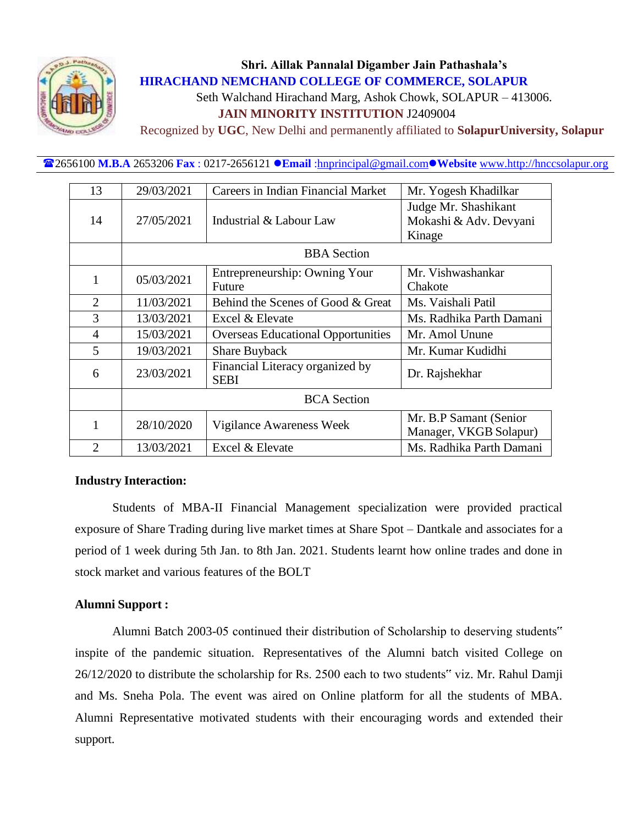

Seth Walchand Hirachand Marg, Ashok Chowk, SOLAPUR – 413006.

 **JAIN MINORITY INSTITUTION** J2409004

Recognized by **UGC**, New Delhi and permanently affiliated to **SolapurUniversity, Solapur**

2656100 **M.B.A** 2653206 **Fax** : 0217-2656121 **Email** [:hnprincipal@gmail.com](mailto:hnprincipal@gmail.com)**Website** [www.http://hnccsolapur.org](http://www.http/hnccsolapur.org)

| 13             | 29/03/2021         | Careers in Indian Financial Market             | Mr. Yogesh Khadilkar                                     |  |  |  |  |
|----------------|--------------------|------------------------------------------------|----------------------------------------------------------|--|--|--|--|
| 14             | 27/05/2021         | Industrial & Labour Law                        | Judge Mr. Shashikant<br>Mokashi & Adv. Devyani<br>Kinage |  |  |  |  |
|                | <b>BBA</b> Section |                                                |                                                          |  |  |  |  |
| 1              | 05/03/2021         | Entrepreneurship: Owning Your<br>Future        | Mr. Vishwashankar<br>Chakote                             |  |  |  |  |
| $\overline{2}$ | 11/03/2021         | Behind the Scenes of Good & Great              | Ms. Vaishali Patil                                       |  |  |  |  |
| 3              | 13/03/2021         | Excel & Elevate                                | Ms. Radhika Parth Damani                                 |  |  |  |  |
| 4              | 15/03/2021         | <b>Overseas Educational Opportunities</b>      | Mr. Amol Unune                                           |  |  |  |  |
| 5              | 19/03/2021         | <b>Share Buyback</b>                           | Mr. Kumar Kudidhi                                        |  |  |  |  |
| 6              | 23/03/2021         | Financial Literacy organized by<br><b>SEBI</b> | Dr. Rajshekhar                                           |  |  |  |  |
|                | <b>BCA</b> Section |                                                |                                                          |  |  |  |  |
| 1              | 28/10/2020         | Vigilance Awareness Week                       | Mr. B.P Samant (Senior)<br>Manager, VKGB Solapur)        |  |  |  |  |
| $\overline{2}$ | 13/03/2021         | Excel & Elevate                                | Ms. Radhika Parth Damani                                 |  |  |  |  |

#### **Industry Interaction:**

Students of MBA-II Financial Management specialization were provided practical exposure of Share Trading during live market times at Share Spot – Dantkale and associates for a period of 1 week during 5th Jan. to 8th Jan. 2021. Students learnt how online trades and done in stock market and various features of the BOLT

#### **Alumni Support :**

Alumni Batch 2003-05 continued their distribution of Scholarship to deserving students" inspite of the pandemic situation. Representatives of the Alumni batch visited College on 26/12/2020 to distribute the scholarship for Rs. 2500 each to two students" viz. Mr. Rahul Damji and Ms. Sneha Pola. The event was aired on Online platform for all the students of MBA. Alumni Representative motivated students with their encouraging words and extended their support.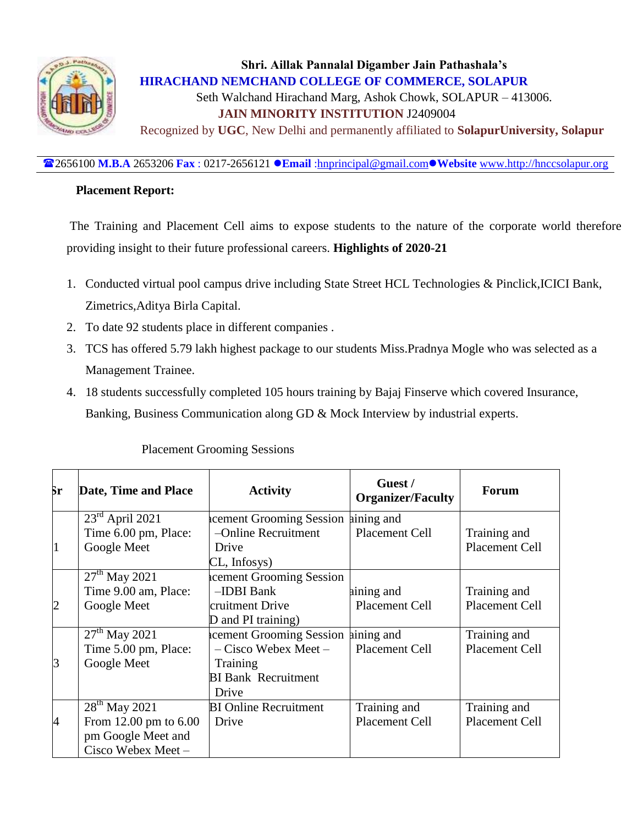

## **Shri. Aillak Pannalal Digamber Jain Pathashala's HIRACHAND NEMCHAND COLLEGE OF COMMERCE, SOLAPUR** Seth Walchand Hirachand Marg, Ashok Chowk, SOLAPUR – 413006.  **JAIN MINORITY INSTITUTION** J2409004 Recognized by **UGC**, New Delhi and permanently affiliated to **SolapurUniversity, Solapur**

2656100 **M.B.A** 2653206 **Fax** : 0217-2656121 **Email** [:hnprincipal@gmail.com](mailto:hnprincipal@gmail.com)**Website** [www.http://hnccsolapur.org](http://www.http/hnccsolapur.org)

#### **Placement Report:**

 The Training and Placement Cell aims to expose students to the nature of the corporate world therefore providing insight to their future professional careers. **Highlights of 2020-21** 

- 1. Conducted virtual pool campus drive including State Street HCL Technologies & Pinclick,ICICI Bank, Zimetrics,Aditya Birla Capital.
- 2. To date 92 students place in different companies .
- 3. TCS has offered 5.79 lakh highest package to our students Miss.Pradnya Mogle who was selected as a Management Trainee.
- 4. 18 students successfully completed 105 hours training by Bajaj Finserve which covered Insurance, Banking, Business Communication along GD & Mock Interview by industrial experts.

| Šг             | Date, Time and Place      | <b>Activity</b>                     | Guest /<br><b>Organizer/Faculty</b> | <b>Forum</b>          |
|----------------|---------------------------|-------------------------------------|-------------------------------------|-----------------------|
|                | $23rd$ April 2021         | acement Grooming Session aining and |                                     |                       |
|                | Time 6.00 pm, Place:      | -Online Recruitment                 | Placement Cell                      | Training and          |
| $\overline{1}$ | Google Meet               | Drive                               |                                     | Placement Cell        |
|                |                           | CL, Infosys)                        |                                     |                       |
|                | $27th$ May 2021           | acement Grooming Session            |                                     |                       |
|                | Time 9.00 am, Place:      | -IDBI Bank                          | aining and                          | Training and          |
| $ 2\rangle$    | Google Meet               | cruitment Drive                     | <b>Placement Cell</b>               | <b>Placement Cell</b> |
|                |                           | D and PI training)                  |                                     |                       |
|                | $27th$ May 2021           | acement Grooming Session aining and |                                     | Training and          |
|                | Time 5.00 pm, Place:      | $-$ Cisco Webex Meet $-$            | <b>Placement Cell</b>               | <b>Placement Cell</b> |
| $\mathsf B$    | Google Meet               | Training                            |                                     |                       |
|                |                           | <b>BI Bank Recruitment</b>          |                                     |                       |
|                |                           | Drive                               |                                     |                       |
|                | 28 <sup>th</sup> May 2021 | <b>BI</b> Online Recruitment        | Training and                        | Training and          |
| $\overline{A}$ | From 12.00 pm to 6.00     | Drive                               | <b>Placement Cell</b>               | Placement Cell        |
|                | pm Google Meet and        |                                     |                                     |                       |
|                | Cisco Webex Meet-         |                                     |                                     |                       |

Placement Grooming Sessions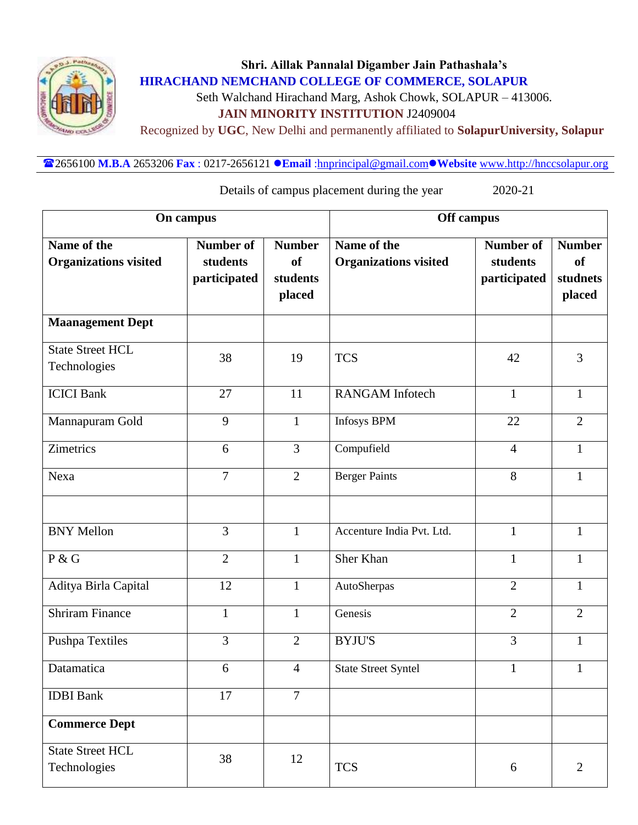

Seth Walchand Hirachand Marg, Ashok Chowk, SOLAPUR – 413006.

 **JAIN MINORITY INSTITUTION** J2409004

Recognized by **UGC**, New Delhi and permanently affiliated to **SolapurUniversity, Solapur**

2656100 **M.B.A** 2653206 **Fax** : 0217-2656121 **Email** [:hnprincipal@gmail.com](mailto:hnprincipal@gmail.com)**Website** [www.http://hnccsolapur.org](http://www.http/hnccsolapur.org)

Details of campus placement during the year 2020-21

|                                             | On campus                                    |                                                  | Off campus                                  |                                              |                                                  |  |
|---------------------------------------------|----------------------------------------------|--------------------------------------------------|---------------------------------------------|----------------------------------------------|--------------------------------------------------|--|
| Name of the<br><b>Organizations visited</b> | <b>Number of</b><br>students<br>participated | <b>Number</b><br><b>of</b><br>students<br>placed | Name of the<br><b>Organizations visited</b> | <b>Number of</b><br>students<br>participated | <b>Number</b><br><b>of</b><br>studnets<br>placed |  |
| <b>Maanagement Dept</b>                     |                                              |                                                  |                                             |                                              |                                                  |  |
| <b>State Street HCL</b><br>Technologies     | 38                                           | 19                                               | <b>TCS</b>                                  | 42                                           | 3                                                |  |
| <b>ICICI Bank</b>                           | 27                                           | 11                                               | <b>RANGAM</b> Infotech                      | $\mathbf{1}$                                 | $\mathbf{1}$                                     |  |
| Mannapuram Gold                             | 9                                            | $\mathbf{1}$                                     | <b>Infosys BPM</b>                          | 22                                           | $\overline{2}$                                   |  |
| Zimetrics                                   | 6                                            | 3                                                | Compufield                                  | $\overline{4}$                               | $\mathbf{1}$                                     |  |
| Nexa                                        | 7                                            | $\overline{2}$                                   | <b>Berger Paints</b>                        | 8                                            | $\mathbf{1}$                                     |  |
|                                             |                                              |                                                  |                                             |                                              |                                                  |  |
| <b>BNY Mellon</b>                           | 3                                            | $\mathbf{1}$                                     | Accenture India Pvt. Ltd.                   | $\mathbf{1}$                                 | $\mathbf{1}$                                     |  |
| P & G                                       | $\overline{2}$                               | $\mathbf{1}$                                     | Sher Khan                                   | $\mathbf{1}$                                 | $\mathbf{1}$                                     |  |
| Aditya Birla Capital                        | 12                                           | $\mathbf{1}$                                     | AutoSherpas                                 | $\overline{2}$                               | 1                                                |  |
| <b>Shriram Finance</b>                      | $\mathbf{1}$                                 | $\mathbf{1}$                                     | Genesis                                     | $\overline{2}$                               | $\overline{2}$                                   |  |
| Pushpa Textiles                             | 3                                            | $\overline{2}$                                   | <b>BYJU'S</b>                               | 3                                            | $\mathbf{1}$                                     |  |
| Datamatica                                  | 6                                            | $\overline{4}$                                   | <b>State Street Syntel</b>                  | $\mathbf{1}$                                 | $\mathbf{1}$                                     |  |
| <b>IDBI</b> Bank                            | 17                                           | $\overline{7}$                                   |                                             |                                              |                                                  |  |
| <b>Commerce Dept</b>                        |                                              |                                                  |                                             |                                              |                                                  |  |
| <b>State Street HCL</b><br>Technologies     | 38                                           | 12                                               | <b>TCS</b>                                  | 6                                            | $\overline{2}$                                   |  |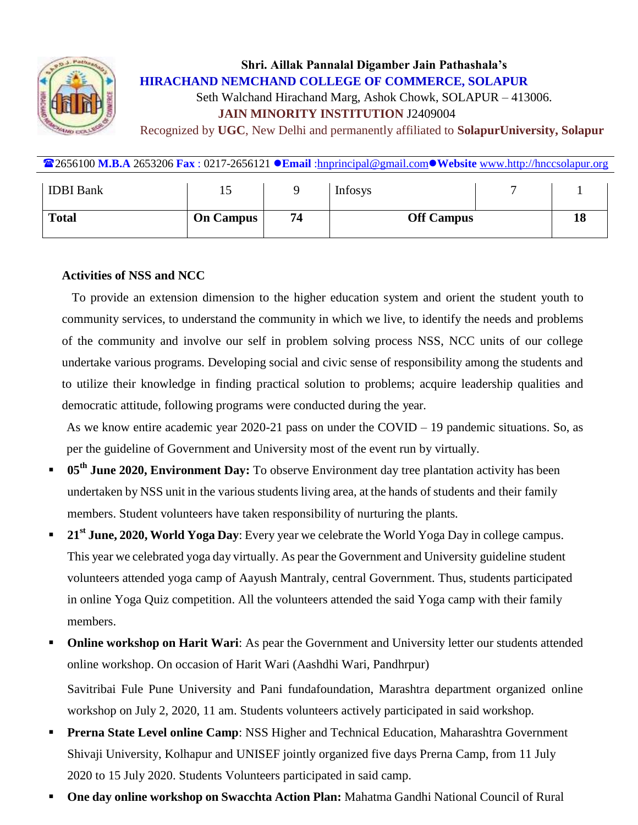

# **Shri. Aillak Pannalal Digamber Jain Pathashala's HIRACHAND NEMCHAND COLLEGE OF COMMERCE, SOLAPUR** Seth Walchand Hirachand Marg, Ashok Chowk, SOLAPUR – 413006.  **JAIN MINORITY INSTITUTION** J2409004

Recognized by **UGC**, New Delhi and permanently affiliated to **SolapurUniversity, Solapur**

| <b><sup>22</sup>2656100 M.B.A</b> 2653206 Fax : 0217-2656121 <b>Canail</b> :hnprincipal@gmail.com • Website www.http://hnccsolapur.org |  |  |  |  |  |
|----------------------------------------------------------------------------------------------------------------------------------------|--|--|--|--|--|
|                                                                                                                                        |  |  |  |  |  |

| <b>IDBI</b> Bank | 15               |    | <b>Infosys</b>    |  |    |
|------------------|------------------|----|-------------------|--|----|
| <b>Total</b>     | <b>On Campus</b> | 74 | <b>Off Campus</b> |  | 18 |

#### **Activities of NSS and NCC**

To provide an extension dimension to the higher education system and orient the student youth to community services, to understand the community in which we live, to identify the needs and problems of the community and involve our self in problem solving process NSS, NCC units of our college undertake various programs. Developing social and civic sense of responsibility among the students and to utilize their knowledge in finding practical solution to problems; acquire leadership qualities and democratic attitude, following programs were conducted during the year.

As we know entire academic year 2020-21 pass on under the COVID – 19 pandemic situations. So, as per the guideline of Government and University most of the event run by virtually.

- **05th June 2020, Environment Day:** To observe Environment day tree plantation activity has been undertaken by NSS unit in the various students living area, at the hands of students and their family members. Student volunteers have taken responsibility of nurturing the plants.
- **21st June, 2020, World Yoga Day**: Every year we celebrate the World Yoga Day in college campus. This year we celebrated yoga day virtually. As pear the Government and University guideline student volunteers attended yoga camp of Aayush Mantraly, central Government. Thus, students participated in online Yoga Quiz competition. All the volunteers attended the said Yoga camp with their family members.
- **Online workshop on Harit Wari:** As pear the Government and University letter our students attended online workshop. On occasion of Harit Wari (Aashdhi Wari, Pandhrpur)

Savitribai Fule Pune University and Pani fundafoundation, Marashtra department organized online workshop on July 2, 2020, 11 am. Students volunteers actively participated in said workshop.

- **Prerna State Level online Camp: NSS Higher and Technical Education, Maharashtra Government** Shivaji University, Kolhapur and UNISEF jointly organized five days Prerna Camp, from 11 July 2020 to 15 July 2020. Students Volunteers participated in said camp.
- **One day online workshop on Swacchta Action Plan:** Mahatma Gandhi National Council of Rural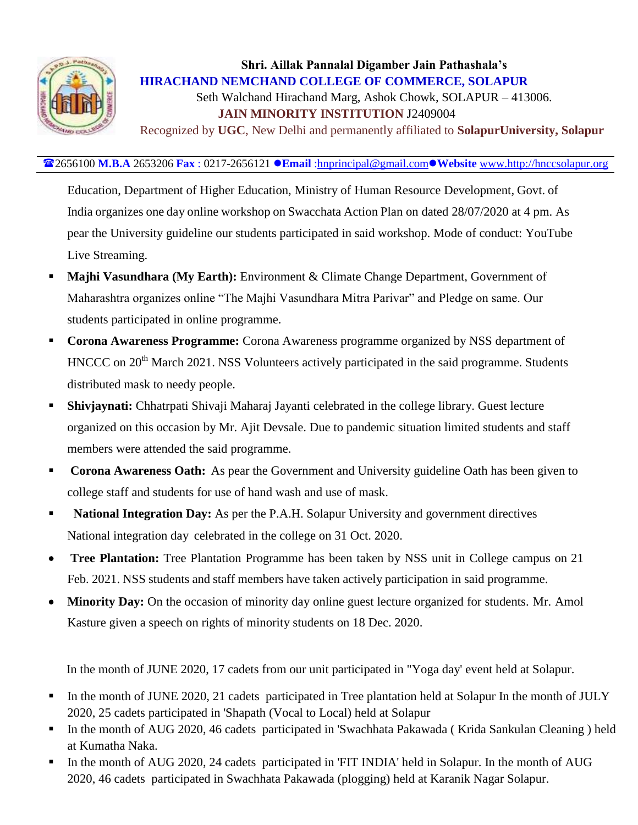

Seth Walchand Hirachand Marg, Ashok Chowk, SOLAPUR – 413006.  **JAIN MINORITY INSTITUTION** J2409004

Recognized by **UGC**, New Delhi and permanently affiliated to **SolapurUniversity, Solapur**

#### 2656100 **M.B.A** 2653206 **Fax** : 0217-2656121 **Email** [:hnprincipal@gmail.com](mailto:hnprincipal@gmail.com)**Website** [www.http://hnccsolapur.org](http://www.http/hnccsolapur.org)

Education, Department of Higher Education, Ministry of Human Resource Development, Govt. of India organizes one day online workshop on Swacchata Action Plan on dated 28/07/2020 at 4 pm. As pear the University guideline our students participated in said workshop. Mode of conduct: YouTube Live Streaming.

- **Majhi Vasundhara (My Earth):** Environment & Climate Change Department, Government of Maharashtra organizes online "The Majhi Vasundhara Mitra Parivar" and Pledge on same. Our students participated in online programme.
- **Corona Awareness Programme:** Corona Awareness programme organized by NSS department of HNCCC on 20<sup>th</sup> March 2021. NSS Volunteers actively participated in the said programme. Students distributed mask to needy people.
- **Shivjaynati:** Chhatrpati Shivaji Maharaj Jayanti celebrated in the college library. Guest lecture organized on this occasion by Mr. Ajit Devsale. Due to pandemic situation limited students and staff members were attended the said programme.
- **Corona Awareness Oath:** As pear the Government and University guideline Oath has been given to college staff and students for use of hand wash and use of mask.
- **National Integration Day:** As per the P.A.H. Solapur University and government directives National integration day celebrated in the college on 31 Oct. 2020.
- **Tree Plantation:** Tree Plantation Programme has been taken by NSS unit in College campus on 21 Feb. 2021. NSS students and staff members have taken actively participation in said programme.
- **Minority Day:** On the occasion of minority day online guest lecture organized for students. Mr. Amol Kasture given a speech on rights of minority students on 18 Dec. 2020.

In the month of JUNE 2020, 17 cadets from our unit participated in "Yoga day' event held at Solapur.

- In the month of JUNE 2020, 21 cadets participated in Tree plantation held at Solapur In the month of JULY 2020, 25 cadets participated in 'Shapath (Vocal to Local) held at Solapur
- In the month of AUG 2020, 46 cadets participated in 'Swachhata Pakawada (Krida Sankulan Cleaning) held at Kumatha Naka.
- In the month of AUG 2020, 24 cadets participated in 'FIT INDIA' held in Solapur. In the month of AUG 2020, 46 cadets participated in Swachhata Pakawada (plogging) held at Karanik Nagar Solapur.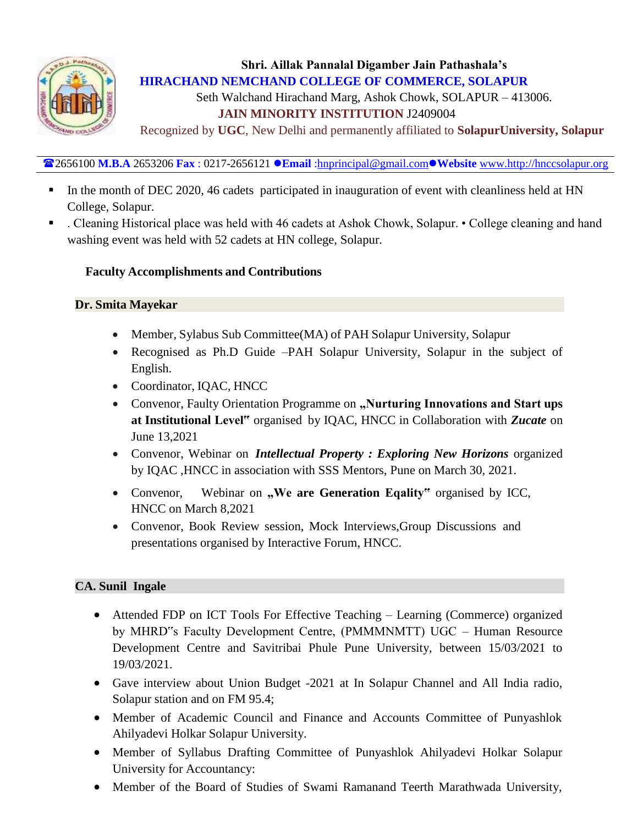

Seth Walchand Hirachand Marg, Ashok Chowk, SOLAPUR – 413006.  **JAIN MINORITY INSTITUTION** J2409004

Recognized by **UGC**, New Delhi and permanently affiliated to **SolapurUniversity, Solapur**

2656100 **M.B.A** 2653206 **Fax** : 0217-2656121 **Email** [:hnprincipal@gmail.com](mailto:hnprincipal@gmail.com)**Website** [www.http://hnccsolapur.org](http://www.http/hnccsolapur.org)

- In the month of DEC 2020, 46 cadets participated in inauguration of event with cleanliness held at HN College, Solapur.
- . Cleaning Historical place was held with 46 cadets at Ashok Chowk, Solapur. College cleaning and hand washing event was held with 52 cadets at HN college, Solapur.

### **Faculty Accomplishments and Contributions**

#### **Dr. Smita Mayekar**

- Member, Sylabus Sub Committee(MA) of PAH Solapur University, Solapur
- Recognised as Ph.D Guide –PAH Solapur University, Solapur in the subject of English.
- Coordinator, IQAC, HNCC
- Convenor, Faulty Orientation Programme on "Nurturing Innovations and Start ups **at Institutional Level"** organised by IQAC, HNCC in Collaboration with *Zucate* on June 13,2021
- Convenor, Webinar on *Intellectual Property : Exploring New Horizons* organized by IQAC ,HNCC in association with SSS Mentors, Pune on March 30, 2021.
- Convenor, Webinar on "We are Generation Eqality" organised by ICC, HNCC on March 8,2021
- Convenor, Book Review session, Mock Interviews,Group Discussions and presentations organised by Interactive Forum, HNCC.

## **CA. Sunil Ingale**

- Attended FDP on ICT Tools For Effective Teaching Learning (Commerce) organized by MHRD"s Faculty Development Centre, (PMMMNMTT) UGC – Human Resource Development Centre and Savitribai Phule Pune University, between 15/03/2021 to 19/03/2021.
- Gave interview about Union Budget -2021 at In Solapur Channel and All India radio, Solapur station and on FM 95.4;
- Member of Academic Council and Finance and Accounts Committee of Punyashlok Ahilyadevi Holkar Solapur University.
- Member of Syllabus Drafting Committee of Punyashlok Ahilyadevi Holkar Solapur University for Accountancy:
- Member of the Board of Studies of Swami Ramanand Teerth Marathwada University,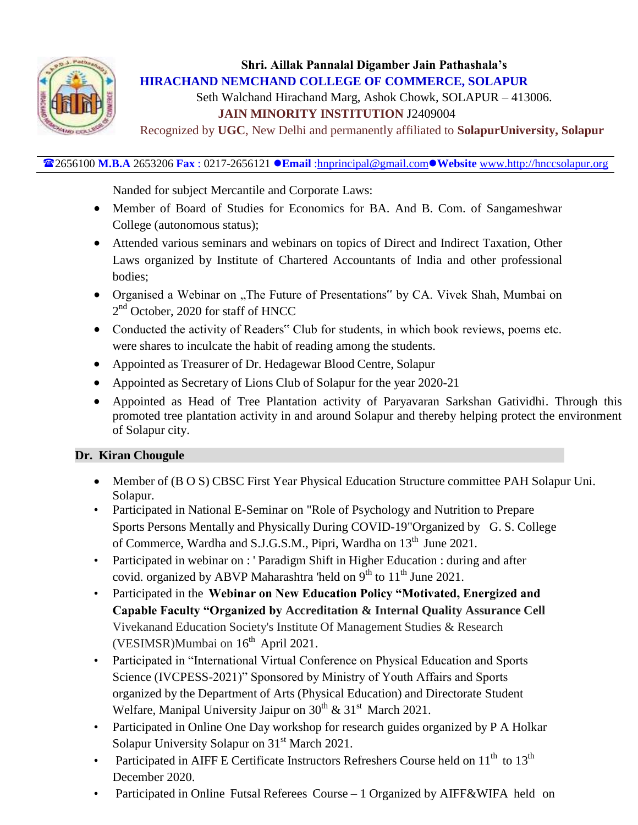

Seth Walchand Hirachand Marg, Ashok Chowk, SOLAPUR – 413006.

## **JAIN MINORITY INSTITUTION** J2409004

Recognized by **UGC**, New Delhi and permanently affiliated to **SolapurUniversity, Solapur**

## 2656100 **M.B.A** 2653206 **Fax** : 0217-2656121 **Email** [:hnprincipal@gmail.com](mailto:hnprincipal@gmail.com)**Website** [www.http://hnccsolapur.org](http://www.http/hnccsolapur.org)

Nanded for subject Mercantile and Corporate Laws:

- Member of Board of Studies for Economics for BA. And B. Com. of Sangameshwar College (autonomous status);
- Attended various seminars and webinars on topics of Direct and Indirect Taxation, Other Laws organized by Institute of Chartered Accountants of India and other professional bodies;
- Organised a Webinar on "The Future of Presentations" by CA. Vivek Shah, Mumbai on 2<sup>nd</sup> October, 2020 for staff of HNCC
- Conducted the activity of Readers" Club for students, in which book reviews, poems etc. were shares to inculcate the habit of reading among the students.
- Appointed as Treasurer of Dr. Hedagewar Blood Centre, Solapur
- Appointed as Secretary of Lions Club of Solapur for the year 2020-21
- Appointed as Head of Tree Plantation activity of Paryavaran Sarkshan Gatividhi. Through this promoted tree plantation activity in and around Solapur and thereby helping protect the environment of Solapur city.

## **Dr. Kiran Chougule**

- Member of (B O S) CBSC First Year Physical Education Structure committee PAH Solapur Uni. Solapur.
- Participated in National E-Seminar on "Role of Psychology and Nutrition to Prepare Sports Persons Mentally and Physically During COVID-19"Organized by G. S. College of Commerce, Wardha and S.J.G.S.M., Pipri, Wardha on 13<sup>th</sup> June 2021.
- Participated in webinar on : 'Paradigm Shift in Higher Education : during and after covid. organized by ABVP Maharashtra 'held on 9<sup>th</sup> to 11<sup>th</sup> June 2021.
- Participated in the **Webinar on New Education Policy "Motivated, Energized and Capable Faculty "Organized by Accreditation & Internal Quality Assurance Cell** Vivekanand Education Society's Institute Of Management Studies & Research (VESIMSR)Mumbai on  $16<sup>th</sup>$  April 2021.
- Participated in "International Virtual Conference on Physical Education and Sports Science (IVCPESS-2021)" Sponsored by Ministry of Youth Affairs and Sports organized by the Department of Arts (Physical Education) and Directorate Student Welfare, Manipal University Jaipur on  $30^{th}$  &  $31^{st}$  March 2021.
- Participated in Online One Day workshop for research guides organized by P A Holkar Solapur University Solapur on 31<sup>st</sup> March 2021.
- Participated in AIFF E Certificate Instructors Refreshers Course held on  $11<sup>th</sup>$  to  $13<sup>th</sup>$ December 2020.
- Participated in Online Futsal Referees Course 1 Organized by AIFF&WIFA held on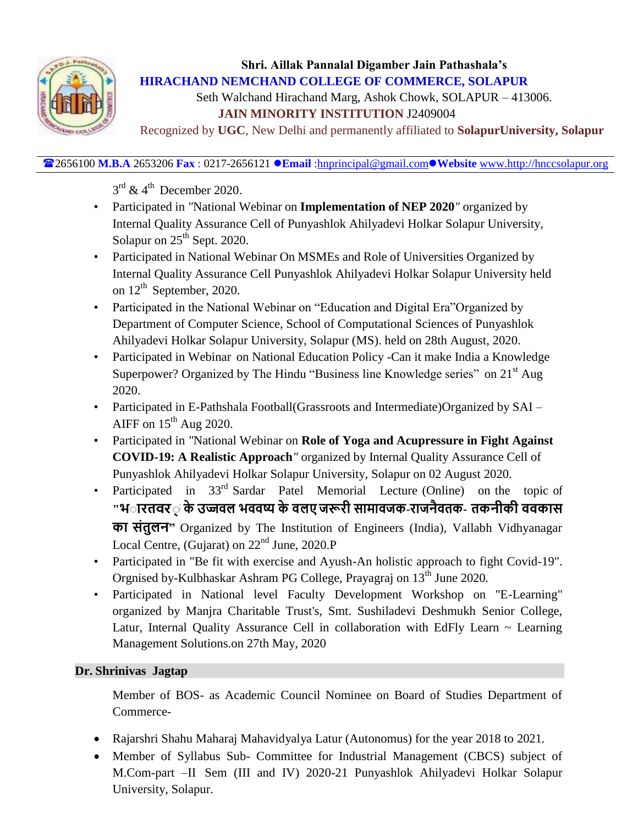

Seth Walchand Hirachand Marg, Ashok Chowk, SOLAPUR – 413006.  **JAIN MINORITY INSTITUTION** J2409004

Recognized by **UGC**, New Delhi and permanently affiliated to **SolapurUniversity, Solapur**

2656100 **M.B.A** 2653206 **Fax** : 0217-2656121 **Email** [:hnprincipal@gmail.com](mailto:hnprincipal@gmail.com)**Website** [www.http://hnccsolapur.org](http://www.http/hnccsolapur.org)

 $3^{\text{rd}}$  & 4<sup>th</sup> December 2020.

- Participated in *"*National Webinar on **Implementation of NEP 2020***"* organized by Internal Quality Assurance Cell of Punyashlok Ahilyadevi Holkar Solapur University, Solapur on  $25<sup>th</sup>$  Sept. 2020.
- Participated in National Webinar On MSMEs and Role of Universities Organized by Internal Quality Assurance Cell Punyashlok Ahilyadevi Holkar Solapur University held on  $12<sup>th</sup>$  September, 2020.
- Participated in the National Webinar on "Education and Digital Era"Organized by Department of Computer Science, School of Computational Sciences of Punyashlok Ahilyadevi Holkar Solapur University, Solapur (MS). held on 28th August, 2020.
- Participated in Webinar on National Education Policy -Can it make India a Knowledge Superpower? Organized by The Hindu "Business line Knowledge series" on 21<sup>st</sup> Aug 2020.
- Participated in E-Pathshala Football(Grassroots and Intermediate)Organized by SAI AIFF on  $15<sup>th</sup>$  Aug 2020.
- Participated in *"*National Webinar on **Role of Yoga and Acupressure in Fight Against COVID-19: A Realistic Approach***"* organized by Internal Quality Assurance Cell of Punyashlok Ahilyadevi Holkar Solapur University, Solapur on 02 August 2020.
- Participated in 33<sup>rd</sup> Sardar Patel Memorial Lecture (Online) on the topic of ''भ**ारतवर**् के उज्जवल भववष्य के वलए जरूरी सामावजक-राजनैवतक- तकनीकी ववकास  **त "** Organized by The Institution of Engineers (India), Vallabh Vidhyanagar Local Centre, (Gujarat) on  $22<sup>nd</sup>$  June, 2020.P
- Participated in "Be fit with exercise and Ayush-An holistic approach to fight Covid-19". Orgnised by-Kulbhaskar Ashram PG College, Prayagraj on 13<sup>th</sup> June 2020.
- Participated in National level Faculty Development Workshop on "E-Learning" organized by Manjra Charitable Trust's, Smt. Sushiladevi Deshmukh Senior College, Latur, Internal Quality Assurance Cell in collaboration with EdFly Learn ~ Learning Management Solutions.on 27th May, 2020

## **Dr. Shrinivas Jagtap**

Member of BOS- as Academic Council Nominee on Board of Studies Department of Commerce-

- Rajarshri Shahu Maharaj Mahavidyalya Latur (Autonomus) for the year 2018 to 2021.
- Member of Syllabus Sub- Committee for Industrial Management (CBCS) subject of M.Com-part –II Sem (III and IV) 2020-21 [Punyashlok Ahilyadevi Holkar](http://www.sus.ac.in/) [Solapur](http://www.sus.ac.in/)  [University,](http://www.sus.ac.in/) Solapur.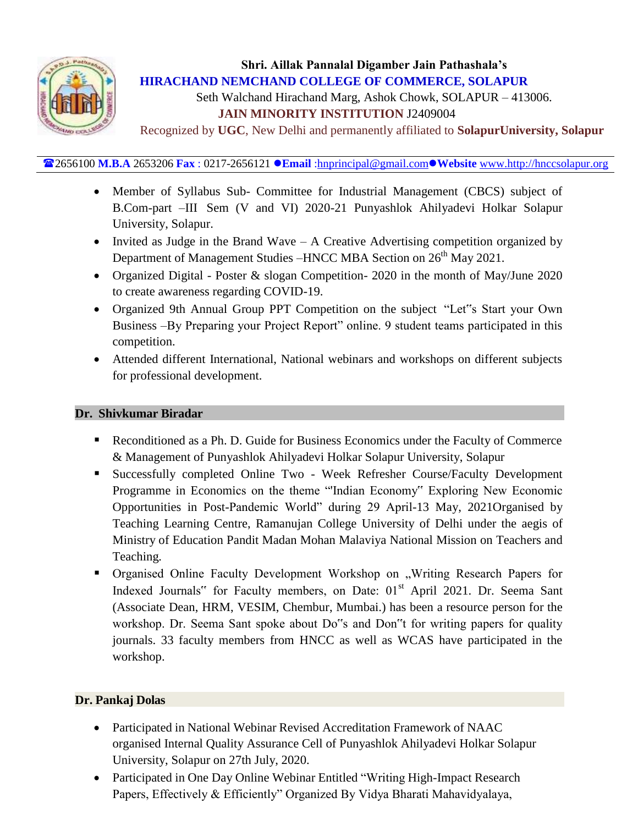

Seth Walchand Hirachand Marg, Ashok Chowk, SOLAPUR – 413006.  **JAIN MINORITY INSTITUTION** J2409004

Recognized by **UGC**, New Delhi and permanently affiliated to **SolapurUniversity, Solapur**

2656100 **M.B.A** 2653206 **Fax** : 0217-2656121 **Email** [:hnprincipal@gmail.com](mailto:hnprincipal@gmail.com)**Website** [www.http://hnccsolapur.org](http://www.http/hnccsolapur.org)

- Member of Syllabus Sub- Committee for Industrial Management (CBCS) subject of B.Com-part –III Sem (V and VI) 2020-21 [Punyashlok Ahilyadevi Holkar](http://www.sus.ac.in/) [Solapur](http://www.sus.ac.in/)  [University,](http://www.sus.ac.in/) Solapur.
- Invited as Judge in the Brand Wave A Creative Advertising competition organized by Department of Management Studies –HNCC MBA Section on  $26<sup>th</sup>$  May 2021.
- Organized Digital Poster & slogan Competition- 2020 in the month of May/June 2020 to create awareness regarding COVID-19.
- Organized 9th Annual Group PPT Competition on the subject "Let"s Start your Own Business –By Preparing your Project Report" online. 9 student teams participated in this competition.
- Attended different International, National webinars and workshops on different subjects for professional development.

#### **Dr. Shivkumar Biradar**

- Reconditioned as a Ph. D. Guide for Business Economics under the Faculty of Commerce & Management of Punyashlok Ahilyadevi Holkar Solapur University, Solapur
- Successfully completed Online Two Week Refresher Course/Faculty Development Programme in Economics on the theme "'Indian Economy" Exploring New Economic Opportunities in Post-Pandemic World" during 29 April-13 May, 2021Organised by Teaching Learning Centre, Ramanujan College University of Delhi under the aegis of Ministry of Education Pandit Madan Mohan Malaviya National Mission on Teachers and Teaching*.*
- Organised Online Faculty Development Workshop on "Writing Research Papers for Indexed Journals" for Faculty members, on Date:  $01<sup>st</sup>$  April 2021. Dr. Seema Sant (Associate Dean, HRM, VESIM, Chembur, Mumbai.) has been a resource person for the workshop. Dr. Seema Sant spoke about Do"s and Don"t for writing papers for quality journals. 33 faculty members from HNCC as well as WCAS have participated in the workshop.

#### **Dr. Pankaj Dolas**

- Participated in National Webinar Revised Accreditation Framework of NAAC organised Internal Quality Assurance Cell of Punyashlok Ahilyadevi Holkar Solapur University, Solapur on 27th July, 2020.
- Participated in One Day Online Webinar Entitled "Writing High-Impact Research Papers, Effectively & Efficiently" Organized By Vidya Bharati Mahavidyalaya,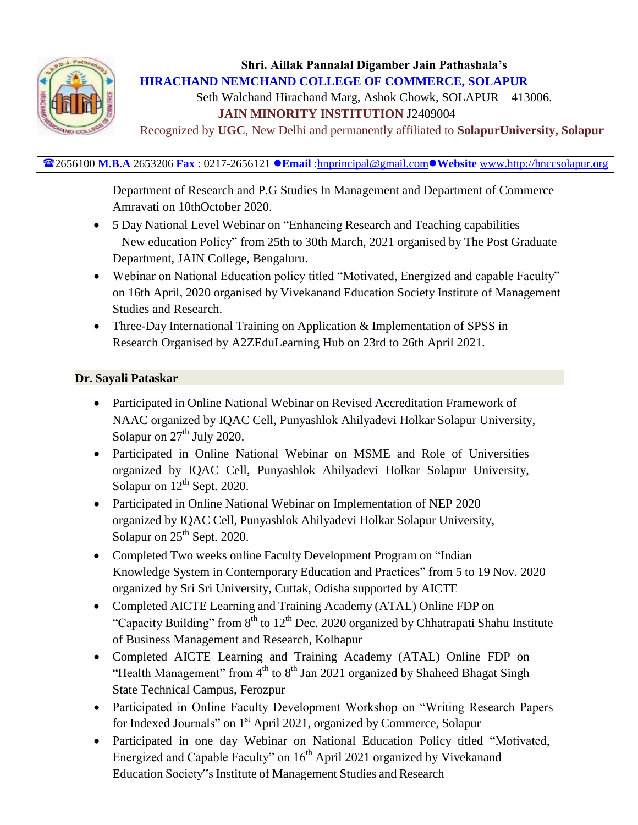

Seth Walchand Hirachand Marg, Ashok Chowk, SOLAPUR – 413006.  **JAIN MINORITY INSTITUTION** J2409004

Recognized by **UGC**, New Delhi and permanently affiliated to **SolapurUniversity, Solapur**

### 2656100 **M.B.A** 2653206 **Fax** : 0217-2656121 **Email** [:hnprincipal@gmail.com](mailto:hnprincipal@gmail.com)**Website** [www.http://hnccsolapur.org](http://www.http/hnccsolapur.org)

Department of Research and P.G Studies In Management and Department of Commerce Amravati on 10thOctober 2020.

- 5 Day National Level Webinar on "Enhancing Research and Teaching capabilities – New education Policy" from 25th to 30th March, 2021 organised by The Post Graduate Department, JAIN College, Bengaluru.
- Webinar on National Education policy titled "Motivated, Energized and capable Faculty" on 16th April, 2020 organised by Vivekanand Education Society Institute of Management Studies and Research.
- Three-Day International Training on Application & Implementation of SPSS in Research Organised by A2ZEduLearning Hub on 23rd to 26th April 2021.

### **Dr. Sayali Pataskar**

- Participated in Online National Webinar on Revised Accreditation Framework of NAAC organized by IQAC Cell, Punyashlok Ahilyadevi Holkar Solapur University, Solapur on  $27<sup>th</sup>$  July 2020.
- Participated in Online National Webinar on MSME and Role of Universities organized by IQAC Cell, Punyashlok Ahilyadevi Holkar Solapur University, Solapur on  $12^{th}$  Sept. 2020.
- Participated in Online National Webinar on Implementation of NEP 2020 organized by IQAC Cell, Punyashlok Ahilyadevi Holkar Solapur University, Solapur on  $25<sup>th</sup>$  Sept. 2020.
- Completed Two weeks online Faculty Development Program on "Indian Knowledge System in Contemporary Education and Practices" from 5 to 19 Nov. 2020 organized by Sri Sri University, Cuttak, Odisha supported by AICTE
- Completed AICTE Learning and Training Academy (ATAL) Online FDP on "Capacity Building" from  $8<sup>th</sup>$  to  $12<sup>th</sup>$  Dec. 2020 organized by Chhatrapati Shahu Institute of Business Management and Research, Kolhapur
- Completed AICTE Learning and Training Academy (ATAL) Online FDP on "Health Management" from  $4<sup>th</sup>$  to  $8<sup>th</sup>$  Jan 2021 organized by Shaheed Bhagat Singh State Technical Campus, Ferozpur
- Participated in Online Faculty Development Workshop on "Writing Research Papers for Indexed Journals" on 1<sup>st</sup> April 2021, organized by Commerce, Solapur
- Participated in one day Webinar on National Education Policy titled "Motivated, Energized and Capable Faculty" on  $16<sup>th</sup>$  April 2021 organized by Vivekanand Education Society"s Institute of Management Studies and Research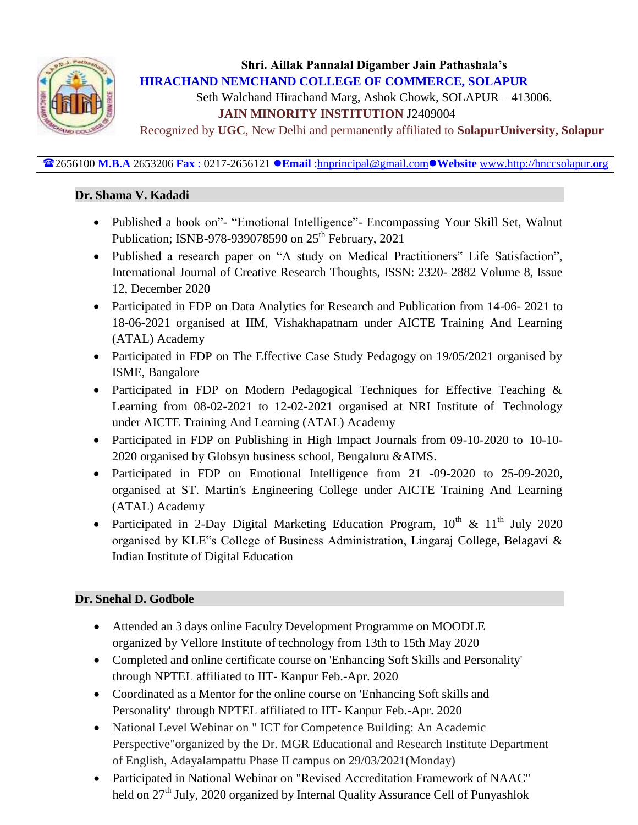

Seth Walchand Hirachand Marg, Ashok Chowk, SOLAPUR – 413006.

## **JAIN MINORITY INSTITUTION** J2409004

Recognized by **UGC**, New Delhi and permanently affiliated to **SolapurUniversity, Solapur**

#### 2656100 **M.B.A** 2653206 **Fax** : 0217-2656121 **Email** [:hnprincipal@gmail.com](mailto:hnprincipal@gmail.com)**Website** [www.http://hnccsolapur.org](http://www.http/hnccsolapur.org)

#### **Dr. Shama V. Kadadi**

- Published a book on"- "Emotional Intelligence"- Encompassing Your Skill Set, Walnut Publication; ISNB-978-939078590 on 25<sup>th</sup> February, 2021
- Published a research paper on "A study on Medical Practitioners" Life Satisfaction", International Journal of Creative Research Thoughts, ISSN: 2320- 2882 Volume 8, Issue 12, December 2020
- Participated in FDP on Data Analytics for Research and Publication from 14-06-2021 to 18-06-2021 organised at IIM, Vishakhapatnam under AICTE Training And Learning (ATAL) Academy
- Participated in FDP on The Effective Case Study Pedagogy on 19/05/2021 organised by ISME, Bangalore
- Participated in FDP on Modern Pedagogical Techniques for Effective Teaching & Learning from 08-02-2021 to 12-02-2021 organised at NRI Institute of Technology under AICTE Training And Learning (ATAL) Academy
- Participated in FDP on Publishing in High Impact Journals from 09-10-2020 to 10-10- 2020 organised by Globsyn business school, Bengaluru &AIMS.
- Participated in FDP on Emotional Intelligence from 21 -09-2020 to 25-09-2020, organised at ST. Martin's Engineering College under AICTE Training And Learning (ATAL) Academy
- Participated in 2-Day Digital Marketing Education Program,  $10^{th}$  &  $11^{th}$  July 2020 organised by KLE"s College of Business Administration, Lingaraj College, Belagavi & Indian Institute of Digital Education

## **Dr. Snehal D. Godbole**

- Attended an 3 days online Faculty Development Programme on MOODLE organized by Vellore Institute of technology from 13th to 15th May 2020
- Completed and online certificate course on 'Enhancing Soft Skills and Personality' through NPTEL affiliated to IIT- Kanpur Feb.-Apr. 2020
- Coordinated as a Mentor for the online course on 'Enhancing Soft skills and Personality' through NPTEL affiliated to IIT- Kanpur Feb.-Apr. 2020
- National Level Webinar on " ICT for Competence Building: An Academic Perspective"organized by the Dr. MGR Educational and Research Institute Department of English, Adayalampattu Phase II campus on 29/03/2021(Monday)
- Participated in National Webinar on "Revised Accreditation Framework of NAAC" held on 27<sup>th</sup> July, 2020 organized by Internal Quality Assurance Cell of Punyashlok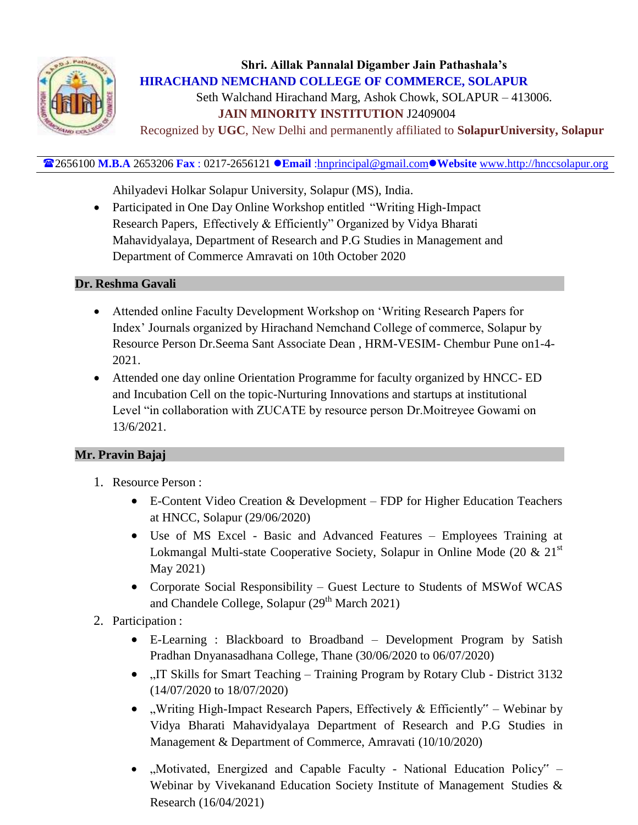

Seth Walchand Hirachand Marg, Ashok Chowk, SOLAPUR – 413006.  **JAIN MINORITY INSTITUTION** J2409004

Recognized by **UGC**, New Delhi and permanently affiliated to **SolapurUniversity, Solapur**

#### 2656100 **M.B.A** 2653206 **Fax** : 0217-2656121 **Email** [:hnprincipal@gmail.com](mailto:hnprincipal@gmail.com)**Website** [www.http://hnccsolapur.org](http://www.http/hnccsolapur.org)

Ahilyadevi Holkar Solapur University, Solapur (MS), India.

• Participated in One Day Online Workshop entitled "Writing High-Impact" Research Papers, Effectively & Efficiently" Organized by Vidya Bharati Mahavidyalaya, Department of Research and P.G Studies in Management and Department of Commerce Amravati on 10th October 2020

#### **Dr. Reshma Gavali**

- Attended online Faculty Development Workshop on "Writing Research Papers for Index" Journals organized by Hirachand Nemchand College of commerce, Solapur by Resource Person Dr.Seema Sant Associate Dean , HRM-VESIM- Chembur Pune on1-4- 2021.
- Attended one day online Orientation Programme for faculty organized by HNCC- ED and Incubation Cell on the topic-Nurturing Innovations and startups at institutional Level "in collaboration with ZUCATE by resource person Dr.Moitreyee Gowami on 13/6/2021.

#### **Mr. Pravin Bajaj**

- 1. Resource Person :
	- E-Content Video Creation & Development FDP for Higher Education Teachers at HNCC, Solapur (29/06/2020)
	- Use of MS Excel Basic and Advanced Features Employees Training at Lokmangal Multi-state Cooperative Society, Solapur in Online Mode (20  $\&$  21<sup>st</sup> May 2021)
	- Corporate Social Responsibility Guest Lecture to Students of MSWof WCAS and Chandele College, Solapur  $(29<sup>th</sup> March 2021)$
- 2. Participation :
	- E-Learning : Blackboard to Broadband Development Program by Satish Pradhan Dnyanasadhana College, Thane (30/06/2020 to 06/07/2020)
	- "IT Skills for Smart Teaching Training Program by Rotary Club District 3132 (14/07/2020 to 18/07/2020)
	- "Writing High-Impact Research Papers, Effectively & Efficiently" Webinar by Vidya Bharati Mahavidyalaya Department of Research and P.G Studies in Management & Department of Commerce, Amravati (10/10/2020)
	- "Motivated, Energized and Capable Faculty National Education Policy" Webinar by Vivekanand Education Society Institute of Management Studies & Research (16/04/2021)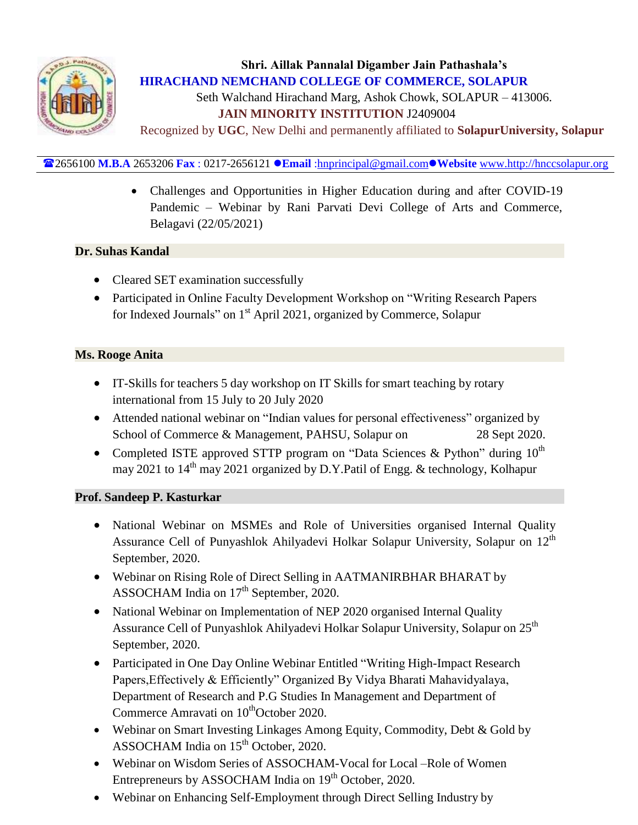

Seth Walchand Hirachand Marg, Ashok Chowk, SOLAPUR – 413006.  **JAIN MINORITY INSTITUTION** J2409004

Recognized by **UGC**, New Delhi and permanently affiliated to **SolapurUniversity, Solapur**

#### 2656100 **M.B.A** 2653206 **Fax** : 0217-2656121 **Email** [:hnprincipal@gmail.com](mailto:hnprincipal@gmail.com)**Website** [www.http://hnccsolapur.org](http://www.http/hnccsolapur.org)

 Challenges and Opportunities in Higher Education during and after COVID-19 Pandemic – Webinar by Rani Parvati Devi College of Arts and Commerce, Belagavi (22/05/2021)

#### **Dr. Suhas Kandal**

- Cleared SET examination successfully
- Participated in Online Faculty Development Workshop on "Writing Research Papers" for Indexed Journals" on 1<sup>st</sup> April 2021, organized by Commerce, Solapur

#### **Ms. Rooge Anita**

- IT-Skills for teachers 5 day workshop on IT Skills for smart teaching by rotary international from 15 July to 20 July 2020
- Attended national webinar on "Indian values for personal effectiveness" organized by School of Commerce & Management, PAHSU, Solapur on 28 Sept 2020.
- Completed ISTE approved STTP program on "Data Sciences & Python" during  $10^{th}$ may 2021 to 14<sup>th</sup> may 2021 organized by D.Y.Patil of Engg. & technology, Kolhapur

#### **Prof. Sandeep P. Kasturkar**

- National Webinar on MSMEs and Role of Universities organised Internal Quality Assurance Cell of Punyashlok Ahilyadevi Holkar Solapur University, Solapur on 12<sup>th</sup> September, 2020.
- Webinar on Rising Role of Direct Selling in AATMANIRBHAR BHARAT by ASSOCHAM India on 17<sup>th</sup> September, 2020.
- National Webinar on Implementation of NEP 2020 organised Internal Quality Assurance Cell of Punyashlok Ahilyadevi Holkar Solapur University, Solapur on 25<sup>th</sup> September, 2020.
- Participated in One Day Online Webinar Entitled "Writing High-Impact Research" Papers,Effectively & Efficiently" Organized By Vidya Bharati Mahavidyalaya, Department of Research and P.G Studies In Management and Department of Commerce Amravati on 10<sup>th</sup>October 2020.
- Webinar on Smart Investing Linkages Among Equity, Commodity, Debt & Gold by ASSOCHAM India on 15<sup>th</sup> October, 2020.
- Webinar on Wisdom Series of ASSOCHAM-Vocal for Local –Role of Women Entrepreneurs by ASSOCHAM India on 19<sup>th</sup> October, 2020.
- Webinar on Enhancing Self-Employment through Direct Selling Industry by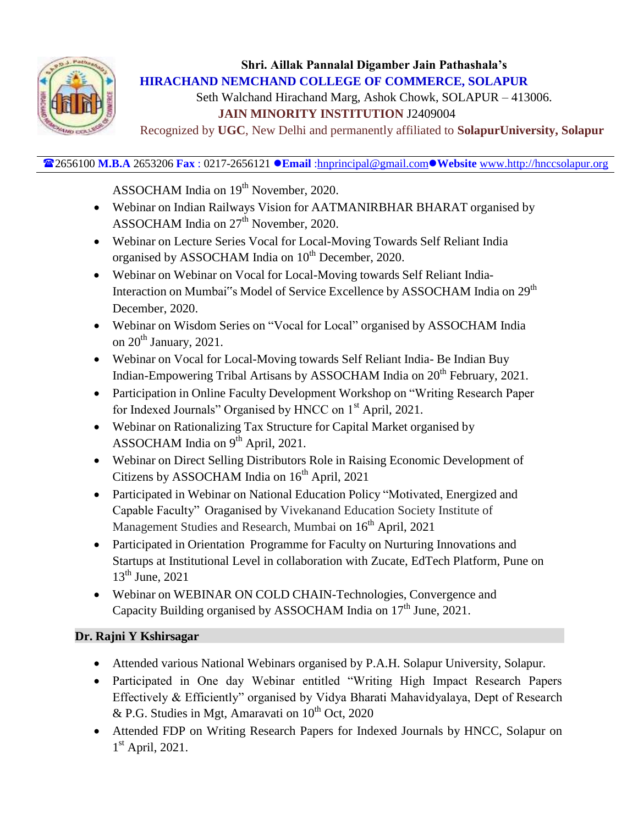

Seth Walchand Hirachand Marg, Ashok Chowk, SOLAPUR – 413006.  **JAIN MINORITY INSTITUTION** J2409004

Recognized by **UGC**, New Delhi and permanently affiliated to **SolapurUniversity, Solapur**

2656100 **M.B.A** 2653206 **Fax** : 0217-2656121 **Email** [:hnprincipal@gmail.com](mailto:hnprincipal@gmail.com)**Website** [www.http://hnccsolapur.org](http://www.http/hnccsolapur.org)

ASSOCHAM India on 19<sup>th</sup> November, 2020.

- Webinar on Indian Railways Vision for AATMANIRBHAR BHARAT organised by ASSOCHAM India on 27<sup>th</sup> November, 2020.
- Webinar on Lecture Series Vocal for Local-Moving Towards Self Reliant India organised by ASSOCHAM India on 10<sup>th</sup> December, 2020.
- Webinar on Webinar on Vocal for Local-Moving towards Self Reliant India-Interaction on Mumbai"s Model of Service Excellence by ASSOCHAM India on 29<sup>th</sup> December, 2020.
- Webinar on Wisdom Series on "Vocal for Local" organised by ASSOCHAM India on  $20^{th}$  January, 2021.
- Webinar on Vocal for Local-Moving towards Self Reliant India- Be Indian Buy Indian-Empowering Tribal Artisans by ASSOCHAM India on 20<sup>th</sup> February, 2021.
- Participation in Online Faculty Development Workshop on "Writing Research Paper for Indexed Journals" Organised by HNCC on 1<sup>st</sup> April, 2021.
- Webinar on Rationalizing Tax Structure for Capital Market organised by ASSOCHAM India on 9<sup>th</sup> April, 2021.
- Webinar on Direct Selling Distributors Role in Raising Economic Development of Citizens by ASSOCHAM India on 16<sup>th</sup> April, 2021
- Participated in Webinar on National Education Policy "Motivated, Energized and Capable Faculty" Oraganised by Vivekanand Education Society Institute of Management Studies and Research, Mumbai on 16<sup>th</sup> April, 2021
- Participated in Orientation Programme for Faculty on Nurturing Innovations and Startups at Institutional Level in collaboration with Zucate, EdTech Platform, Pune on  $13^{th}$  June, 2021
- Webinar on WEBINAR ON COLD CHAIN-Technologies, Convergence and Capacity Building organised by ASSOCHAM India on  $17<sup>th</sup>$  June, 2021.

# **Dr. Rajni Y Kshirsagar**

- Attended various National Webinars organised by P.A.H. Solapur University, Solapur.
- Participated in One day Webinar entitled "Writing High Impact Research Papers Effectively & Efficiently" organised by Vidya Bharati Mahavidyalaya, Dept of Research & P.G. Studies in Mgt, Amaravati on  $10^{th}$  Oct, 2020
- Attended FDP on Writing Research Papers for Indexed Journals by HNCC, Solapur on 1<sup>st</sup> April, 2021.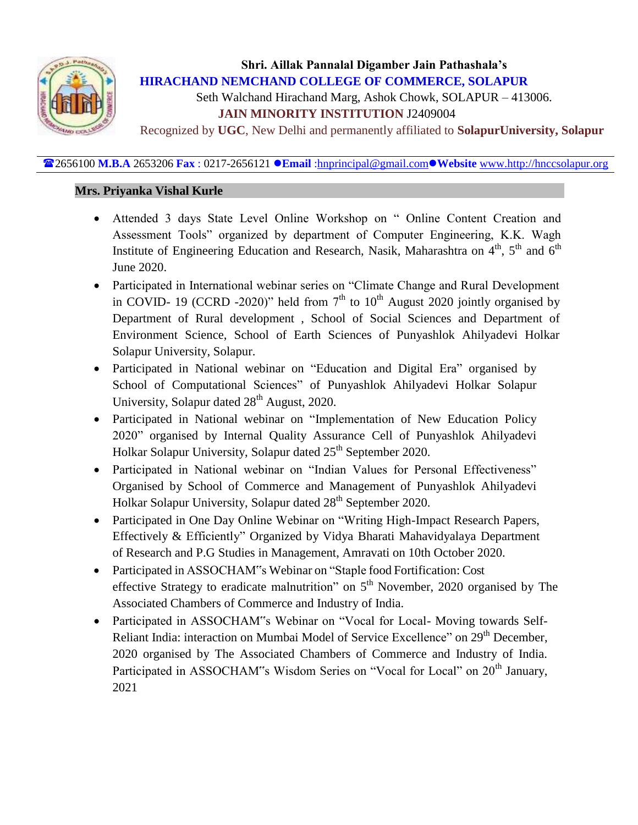

Seth Walchand Hirachand Marg, Ashok Chowk, SOLAPUR – 413006.  **JAIN MINORITY INSTITUTION** J2409004

Recognized by **UGC**, New Delhi and permanently affiliated to **SolapurUniversity, Solapur**

#### 2656100 **M.B.A** 2653206 **Fax** : 0217-2656121 **Email** [:hnprincipal@gmail.com](mailto:hnprincipal@gmail.com)**Website** [www.http://hnccsolapur.org](http://www.http/hnccsolapur.org)

#### **Mrs. Priyanka Vishal Kurle**

- Attended 3 days State Level Online Workshop on " Online Content Creation and Assessment Tools" organized by department of Computer Engineering, K.K. Wagh Institute of Engineering Education and Research, Nasik, Maharashtra on 4<sup>th</sup>, 5<sup>th</sup> and 6<sup>th</sup> June 2020.
- Participated in International webinar series on "Climate Change and Rural Development in COVID- 19 (CCRD -2020)" held from  $7<sup>th</sup>$  to  $10<sup>th</sup>$  August 2020 jointly organised by Department of Rural development , School of Social Sciences and Department of Environment Science, School of Earth Sciences of Punyashlok Ahilyadevi Holkar Solapur University, Solapur.
- Participated in National webinar on "Education and Digital Era" organised by School of Computational Sciences" of Punyashlok Ahilyadevi Holkar Solapur University, Solapur dated  $28<sup>th</sup>$  August, 2020.
- Participated in National webinar on "Implementation of New Education Policy 2020" organised by Internal Quality Assurance Cell of Punyashlok Ahilyadevi Holkar Solapur University, Solapur dated 25<sup>th</sup> September 2020.
- Participated in National webinar on "Indian Values for Personal Effectiveness" Organised by School of Commerce and Management of Punyashlok Ahilyadevi Holkar Solapur University, Solapur dated 28<sup>th</sup> September 2020.
- Participated in One Day Online Webinar on "Writing High-Impact Research Papers, Effectively & Efficiently" Organized by Vidya Bharati Mahavidyalaya Department of Research and P.G Studies in Management, Amravati on 10th October 2020.
- Participated in ASSOCHAM"s Webinar on "Staple food Fortification: Cost effective Strategy to eradicate malnutrition" on  $5<sup>th</sup>$  November, 2020 organised by The Associated Chambers of Commerce and Industry of India.
- Participated in ASSOCHAM"s Webinar on "Vocal for Local- Moving towards Self-Reliant India: interaction on Mumbai Model of Service Excellence" on 29<sup>th</sup> December, 2020 organised by The Associated Chambers of Commerce and Industry of India. Participated in ASSOCHAM"s Wisdom Series on "Vocal for Local" on 20<sup>th</sup> January, 2021